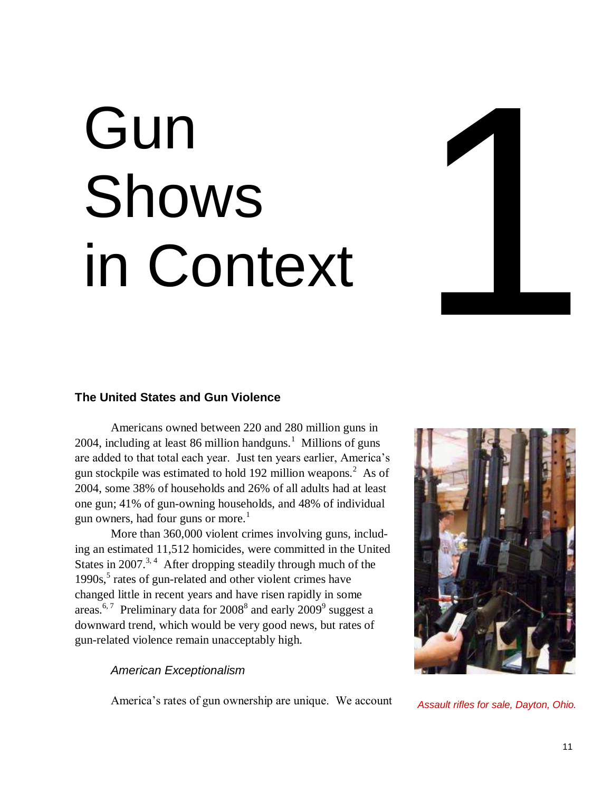# Gun Shows in Context



### **The United States and Gun Violence**

Americans owned between 220 and 280 million guns in 2004, including at least 86 million handguns. $<sup>1</sup>$  Millions of guns</sup> are added to that total each year. Just ten years earlier, America"s gun stockpile was estimated to hold 192 million weapons. $2$  As of 2004, some 38% of households and 26% of all adults had at least one gun; 41% of gun-owning households, and 48% of individual gun owners, had four guns or more.<sup>1</sup>

More than 360,000 violent crimes involving guns, including an estimated 11,512 homicides, were committed in the United States in  $2007$ .<sup>3, 4</sup> After dropping steadily through much of the 1990s,<sup>5</sup> rates of gun-related and other violent crimes have changed little in recent years and have risen rapidly in some areas.<sup>6,7</sup> Preliminary data for 2008<sup>8</sup> and early 2009<sup>9</sup> suggest a downward trend, which would be very good news, but rates of gun-related violence remain unacceptably high.

### *American Exceptionalism*

America"s rates of gun ownership are unique. We account *Assault rifles for sale, Dayton, Ohio.*

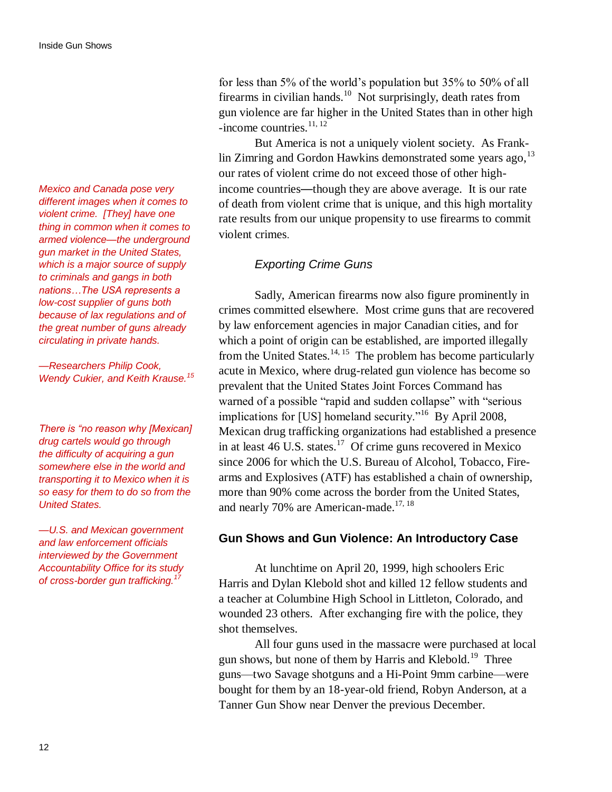*Mexico and Canada pose very different images when it comes to violent crime. [They] have one thing in common when it comes to armed violence—the underground gun market in the United States, which is a major source of supply to criminals and gangs in both nations…The USA represents a low-cost supplier of guns both because of lax regulations and of the great number of guns already circulating in private hands.*

*—Researchers Philip Cook, Wendy Cukier, and Keith Krause.<sup>15</sup>*

*There is "no reason why [Mexican] drug cartels would go through the difficulty of acquiring a gun somewhere else in the world and transporting it to Mexico when it is so easy for them to do so from the United States.*

*—U.S. and Mexican government and law enforcement officials interviewed by the Government Accountability Office for its study of cross-border gun trafficking.<sup>17</sup>*

for less than 5% of the world"s population but 35% to 50% of all firearms in civilian hands.<sup>10</sup> Not surprisingly, death rates from gun violence are far higher in the United States than in other high -income countries.<sup>11, 12</sup>

But America is not a uniquely violent society. As Franklin Zimring and Gordon Hawkins demonstrated some years ago,  $13$ our rates of violent crime do not exceed those of other highincome countries—though they are above average. It is our rate of death from violent crime that is unique, and this high mortality rate results from our unique propensity to use firearms to commit violent crimes.

### *Exporting Crime Guns*

Sadly, American firearms now also figure prominently in crimes committed elsewhere. Most crime guns that are recovered by law enforcement agencies in major Canadian cities, and for which a point of origin can be established, are imported illegally from the United States. $14, 15$  The problem has become particularly acute in Mexico, where drug-related gun violence has become so prevalent that the United States Joint Forces Command has warned of a possible "rapid and sudden collapse" with "serious implications for [US] homeland security."<sup>16</sup> By April 2008, Mexican drug trafficking organizations had established a presence in at least 46 U.S. states.<sup>17</sup> Of crime guns recovered in Mexico since 2006 for which the U.S. Bureau of Alcohol, Tobacco, Firearms and Explosives (ATF) has established a chain of ownership, more than 90% come across the border from the United States, and nearly 70% are American-made.<sup>17, 18</sup>

### **Gun Shows and Gun Violence: An Introductory Case**

At lunchtime on April 20, 1999, high schoolers Eric Harris and Dylan Klebold shot and killed 12 fellow students and a teacher at Columbine High School in Littleton, Colorado, and wounded 23 others. After exchanging fire with the police, they shot themselves.

All four guns used in the massacre were purchased at local gun shows, but none of them by Harris and Klebold.<sup>19</sup> Three guns—two Savage shotguns and a Hi-Point 9mm carbine—were bought for them by an 18-year-old friend, Robyn Anderson, at a Tanner Gun Show near Denver the previous December.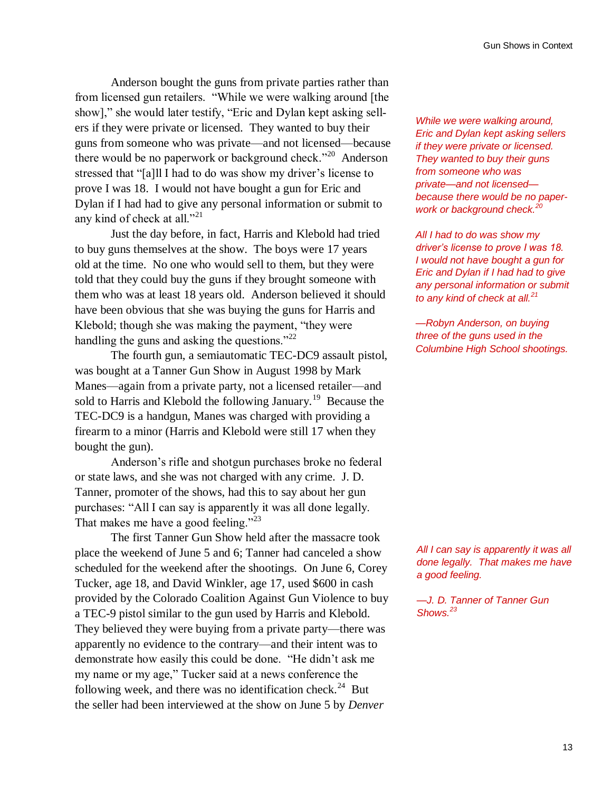Anderson bought the guns from private parties rather than from licensed gun retailers. "While we were walking around [the show]," she would later testify, "Eric and Dylan kept asking sellers if they were private or licensed. They wanted to buy their guns from someone who was private—and not licensed—because there would be no paperwork or background check."<sup>20</sup> Anderson stressed that "[a]ll I had to do was show my driver's license to prove I was 18. I would not have bought a gun for Eric and Dylan if I had had to give any personal information or submit to any kind of check at all."<sup>21</sup>

Just the day before, in fact, Harris and Klebold had tried to buy guns themselves at the show. The boys were 17 years old at the time. No one who would sell to them, but they were told that they could buy the guns if they brought someone with them who was at least 18 years old. Anderson believed it should have been obvious that she was buying the guns for Harris and Klebold; though she was making the payment, "they were handling the guns and asking the questions."<sup>22</sup>

The fourth gun, a semiautomatic TEC-DC9 assault pistol, was bought at a Tanner Gun Show in August 1998 by Mark Manes—again from a private party, not a licensed retailer—and sold to Harris and Klebold the following January.<sup>19</sup> Because the TEC-DC9 is a handgun, Manes was charged with providing a firearm to a minor (Harris and Klebold were still 17 when they bought the gun).

Anderson"s rifle and shotgun purchases broke no federal or state laws, and she was not charged with any crime. J. D. Tanner, promoter of the shows, had this to say about her gun purchases: "All I can say is apparently it was all done legally. That makes me have a good feeling."<sup>23</sup>

The first Tanner Gun Show held after the massacre took place the weekend of June 5 and 6; Tanner had canceled a show scheduled for the weekend after the shootings. On June 6, Corey Tucker, age 18, and David Winkler, age 17, used \$600 in cash provided by the Colorado Coalition Against Gun Violence to buy a TEC-9 pistol similar to the gun used by Harris and Klebold. They believed they were buying from a private party—there was apparently no evidence to the contrary—and their intent was to demonstrate how easily this could be done. "He didn"t ask me my name or my age," Tucker said at a news conference the following week, and there was no identification check.<sup>24</sup> But the seller had been interviewed at the show on June 5 by *Denver* 

*While we were walking around, Eric and Dylan kept asking sellers if they were private or licensed. They wanted to buy their guns from someone who was private—and not licensed because there would be no paperwork or background check.<sup>20</sup>* 

*All I had to do was show my driver"s license to prove I was 18. I would not have bought a gun for Eric and Dylan if I had had to give any personal information or submit to any kind of check at all.<sup>21</sup>*

*—Robyn Anderson, on buying three of the guns used in the Columbine High School shootings.*

*All I can say is apparently it was all done legally. That makes me have a good feeling.*

*—J. D. Tanner of Tanner Gun Shows.<sup>23</sup>*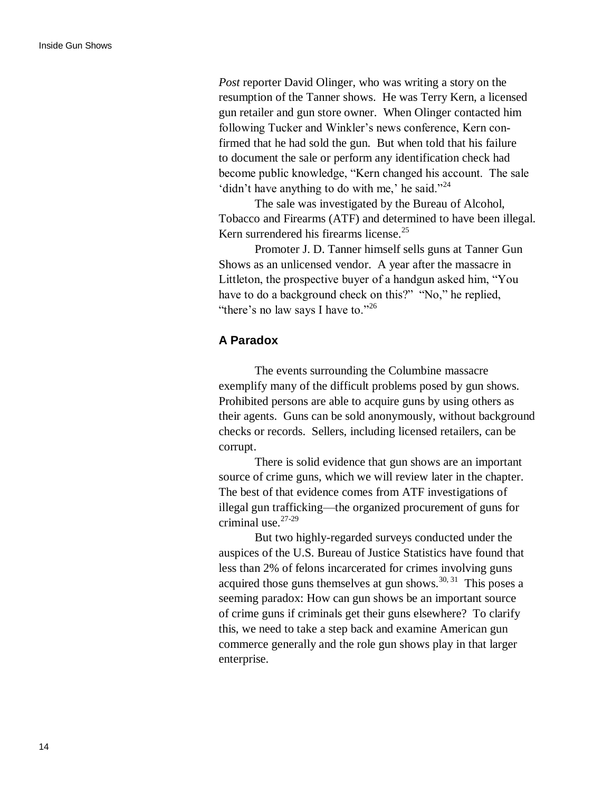*Post* reporter David Olinger, who was writing a story on the resumption of the Tanner shows. He was Terry Kern, a licensed gun retailer and gun store owner. When Olinger contacted him following Tucker and Winkler's news conference, Kern confirmed that he had sold the gun. But when told that his failure to document the sale or perform any identification check had become public knowledge, "Kern changed his account. The sale 'didn't have anything to do with me,' he said."<sup>24</sup>

The sale was investigated by the Bureau of Alcohol, Tobacco and Firearms (ATF) and determined to have been illegal. Kern surrendered his firearms license.<sup>25</sup>

Promoter J. D. Tanner himself sells guns at Tanner Gun Shows as an unlicensed vendor. A year after the massacre in Littleton, the prospective buyer of a handgun asked him, "You have to do a background check on this?" "No," he replied, "there's no law says I have to."<sup>26</sup>

### **A Paradox**

The events surrounding the Columbine massacre exemplify many of the difficult problems posed by gun shows. Prohibited persons are able to acquire guns by using others as their agents. Guns can be sold anonymously, without background checks or records. Sellers, including licensed retailers, can be corrupt.

There is solid evidence that gun shows are an important source of crime guns, which we will review later in the chapter. The best of that evidence comes from ATF investigations of illegal gun trafficking—the organized procurement of guns for criminal use. $27-29$ 

But two highly-regarded surveys conducted under the auspices of the U.S. Bureau of Justice Statistics have found that less than 2% of felons incarcerated for crimes involving guns acquired those guns themselves at gun shows.<sup>30, 31</sup> This poses a seeming paradox: How can gun shows be an important source of crime guns if criminals get their guns elsewhere? To clarify this, we need to take a step back and examine American gun commerce generally and the role gun shows play in that larger enterprise.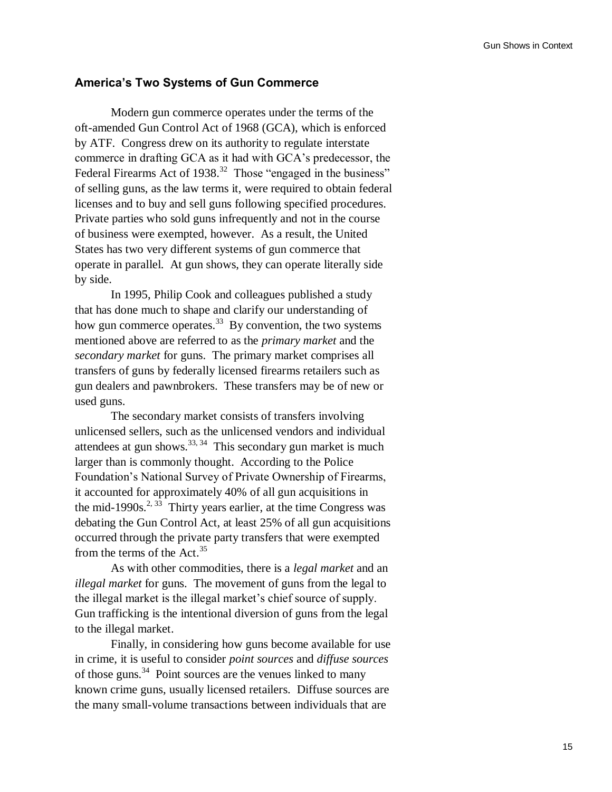### **America's Two Systems of Gun Commerce**

Modern gun commerce operates under the terms of the oft-amended Gun Control Act of 1968 (GCA), which is enforced by ATF. Congress drew on its authority to regulate interstate commerce in drafting GCA as it had with GCA"s predecessor, the Federal Firearms Act of  $1938$ <sup>32</sup> Those "engaged in the business" of selling guns, as the law terms it, were required to obtain federal licenses and to buy and sell guns following specified procedures. Private parties who sold guns infrequently and not in the course of business were exempted, however. As a result, the United States has two very different systems of gun commerce that operate in parallel. At gun shows, they can operate literally side by side.

In 1995, Philip Cook and colleagues published a study that has done much to shape and clarify our understanding of how gun commerce operates.<sup>33</sup> By convention, the two systems mentioned above are referred to as the *primary market* and the *secondary market* for guns. The primary market comprises all transfers of guns by federally licensed firearms retailers such as gun dealers and pawnbrokers. These transfers may be of new or used guns.

The secondary market consists of transfers involving unlicensed sellers, such as the unlicensed vendors and individual attendees at gun shows. $^{33,34}$  This secondary gun market is much larger than is commonly thought. According to the Police Foundation"s National Survey of Private Ownership of Firearms, it accounted for approximately 40% of all gun acquisitions in the mid-1990s.<sup>2, 33</sup> Thirty years earlier, at the time Congress was debating the Gun Control Act, at least 25% of all gun acquisitions occurred through the private party transfers that were exempted from the terms of the Act.<sup>35</sup>

As with other commodities, there is a *legal market* and an *illegal market* for guns. The movement of guns from the legal to the illegal market is the illegal market's chief source of supply. Gun trafficking is the intentional diversion of guns from the legal to the illegal market.

Finally, in considering how guns become available for use in crime, it is useful to consider *point sources* and *diffuse sources* of those guns.<sup>34</sup> Point sources are the venues linked to many known crime guns, usually licensed retailers. Diffuse sources are the many small-volume transactions between individuals that are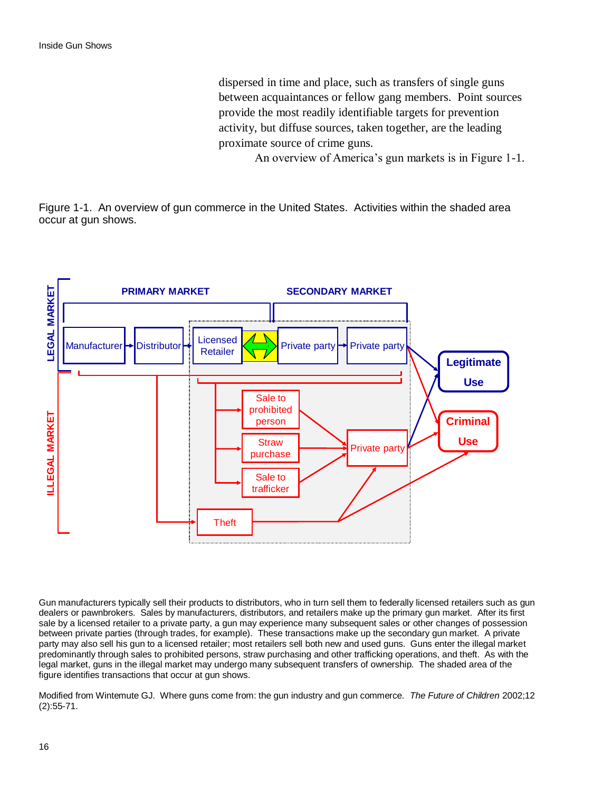dispersed in time and place, such as transfers of single guns between acquaintances or fellow gang members. Point sources provide the most readily identifiable targets for prevention activity, but diffuse sources, taken together, are the leading proximate source of crime guns.

An overview of America's gun markets is in Figure 1-1.

Figure 1-1. An overview of gun commerce in the United States. Activities within the shaded area occur at gun shows.



Gun manufacturers typically sell their products to distributors, who in turn sell them to federally licensed retailers such as gun dealers or pawnbrokers. Sales by manufacturers, distributors, and retailers make up the primary gun market. After its first sale by a licensed retailer to a private party, a gun may experience many subsequent sales or other changes of possession between private parties (through trades, for example). These transactions make up the secondary gun market. A private party may also sell his gun to a licensed retailer; most retailers sell both new and used guns. Guns enter the illegal market predominantly through sales to prohibited persons, straw purchasing and other trafficking operations, and theft. As with the legal market, guns in the illegal market may undergo many subsequent transfers of ownership. The shaded area of the figure identifies transactions that occur at gun shows.

Modified from Wintemute GJ. Where guns come from: the gun industry and gun commerce. *The Future of Children* 2002;12 (2):55-71.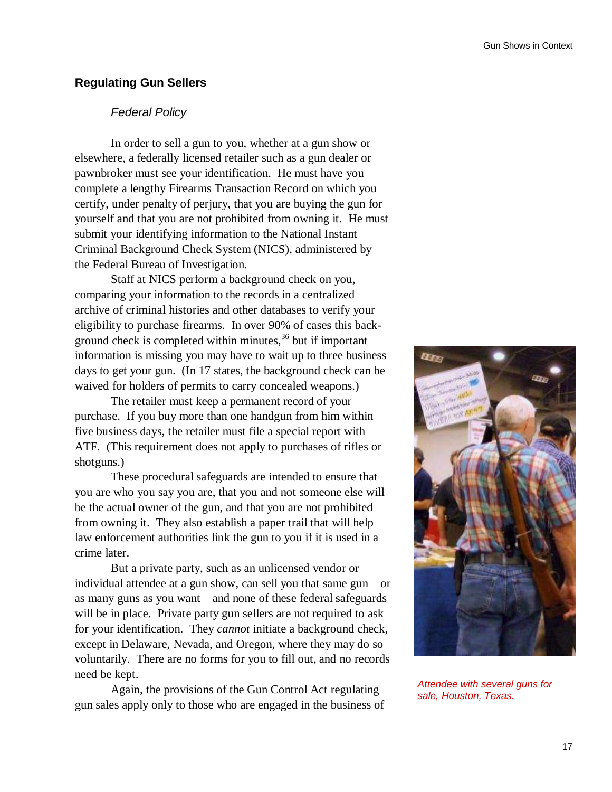# **Regulating Gun Sellers**

# *Federal Policy*

In order to sell a gun to you, whether at a gun show or elsewhere, a federally licensed retailer such as a gun dealer or pawnbroker must see your identification. He must have you complete a lengthy Firearms Transaction Record on which you certify, under penalty of perjury, that you are buying the gun for yourself and that you are not prohibited from owning it. He must submit your identifying information to the National Instant Criminal Background Check System (NICS), administered by the Federal Bureau of Investigation.

Staff at NICS perform a background check on you, comparing your information to the records in a centralized archive of criminal histories and other databases to verify your eligibility to purchase firearms. In over 90% of cases this background check is completed within minutes,<sup>36</sup> but if important information is missing you may have to wait up to three business days to get your gun. (In 17 states, the background check can be waived for holders of permits to carry concealed weapons.)

The retailer must keep a permanent record of your purchase. If you buy more than one handgun from him within five business days, the retailer must file a special report with ATF. (This requirement does not apply to purchases of rifles or shotguns.)

These procedural safeguards are intended to ensure that you are who you say you are, that you and not someone else will be the actual owner of the gun, and that you are not prohibited from owning it. They also establish a paper trail that will help law enforcement authorities link the gun to you if it is used in a crime later.

But a private party, such as an unlicensed vendor or individual attendee at a gun show, can sell you that same gun—or as many guns as you want—and none of these federal safeguards will be in place. Private party gun sellers are not required to ask for your identification. They *cannot* initiate a background check, except in Delaware, Nevada, and Oregon, where they may do so voluntarily. There are no forms for you to fill out, and no records need be kept.

Again, the provisions of the Gun Control Act regulating gun sales apply only to those who are engaged in the business of



*Attendee with several guns for sale, Houston, Texas.*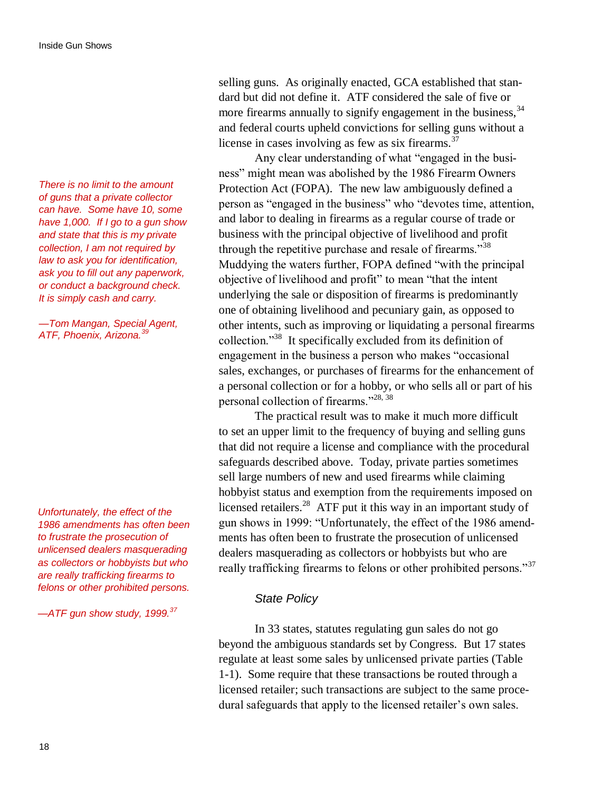*There is no limit to the amount of guns that a private collector can have. Some have 10, some have 1,000. If I go to a gun show and state that this is my private collection, I am not required by law to ask you for identification, ask you to fill out any paperwork, or conduct a background check. It is simply cash and carry.* 

*—Tom Mangan, Special Agent, ATF, Phoenix, Arizona.<sup>39</sup>*

*Unfortunately, the effect of the 1986 amendments has often been to frustrate the prosecution of unlicensed dealers masquerading as collectors or hobbyists but who are really trafficking firearms to felons or other prohibited persons.*

*—ATF gun show study, 1999.<sup>37</sup>*

selling guns. As originally enacted, GCA established that standard but did not define it. ATF considered the sale of five or more firearms annually to signify engagement in the business, <sup>34</sup> and federal courts upheld convictions for selling guns without a license in cases involving as few as six firearms. $37$ 

Any clear understanding of what "engaged in the business" might mean was abolished by the 1986 Firearm Owners Protection Act (FOPA). The new law ambiguously defined a person as "engaged in the business" who "devotes time, attention, and labor to dealing in firearms as a regular course of trade or business with the principal objective of livelihood and profit through the repetitive purchase and resale of firearms."<sup>38</sup> Muddying the waters further, FOPA defined "with the principal objective of livelihood and profit" to mean "that the intent underlying the sale or disposition of firearms is predominantly one of obtaining livelihood and pecuniary gain, as opposed to other intents, such as improving or liquidating a personal firearms collection."<sup>38</sup> It specifically excluded from its definition of engagement in the business a person who makes "occasional sales, exchanges, or purchases of firearms for the enhancement of a personal collection or for a hobby, or who sells all or part of his personal collection of firearms."28, 38

The practical result was to make it much more difficult to set an upper limit to the frequency of buying and selling guns that did not require a license and compliance with the procedural safeguards described above. Today, private parties sometimes sell large numbers of new and used firearms while claiming hobbyist status and exemption from the requirements imposed on licensed retailers.<sup>28</sup> ATF put it this way in an important study of gun shows in 1999: "Unfortunately, the effect of the 1986 amendments has often been to frustrate the prosecution of unlicensed dealers masquerading as collectors or hobbyists but who are really trafficking firearms to felons or other prohibited persons."<sup>37</sup>

### *State Policy*

In 33 states, statutes regulating gun sales do not go beyond the ambiguous standards set by Congress. But 17 states regulate at least some sales by unlicensed private parties (Table 1-1). Some require that these transactions be routed through a licensed retailer; such transactions are subject to the same procedural safeguards that apply to the licensed retailer's own sales.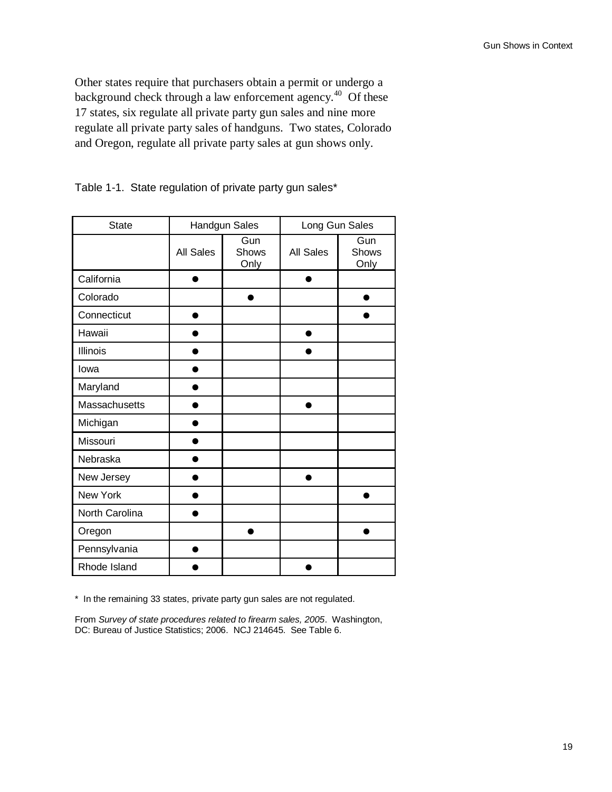Other states require that purchasers obtain a permit or undergo a background check through a law enforcement agency.<sup>40</sup> Of these 17 states, six regulate all private party gun sales and nine more regulate all private party sales of handguns. Two states, Colorado and Oregon, regulate all private party sales at gun shows only.

| <b>State</b>   | <b>Handgun Sales</b> |                      | Long Gun Sales |                      |
|----------------|----------------------|----------------------|----------------|----------------------|
|                | <b>All Sales</b>     | Gun<br>Shows<br>Only | All Sales      | Gun<br>Shows<br>Only |
| California     |                      |                      |                |                      |
| Colorado       |                      |                      |                |                      |
| Connecticut    |                      |                      |                |                      |
| Hawaii         |                      |                      |                |                      |
| Illinois       |                      |                      |                |                      |
| lowa           |                      |                      |                |                      |
| Maryland       |                      |                      |                |                      |
| Massachusetts  |                      |                      |                |                      |
| Michigan       |                      |                      |                |                      |
| Missouri       |                      |                      |                |                      |
| Nebraska       |                      |                      |                |                      |
| New Jersey     |                      |                      |                |                      |
| New York       |                      |                      |                |                      |
| North Carolina |                      |                      |                |                      |
| Oregon         |                      |                      |                |                      |
| Pennsylvania   |                      |                      |                |                      |
| Rhode Island   |                      |                      |                |                      |

Table 1-1. State regulation of private party gun sales\*

\* In the remaining 33 states, private party gun sales are not regulated.

From *Survey of state procedures related to firearm sales, 2005*. Washington, DC: Bureau of Justice Statistics; 2006. NCJ 214645. See Table 6.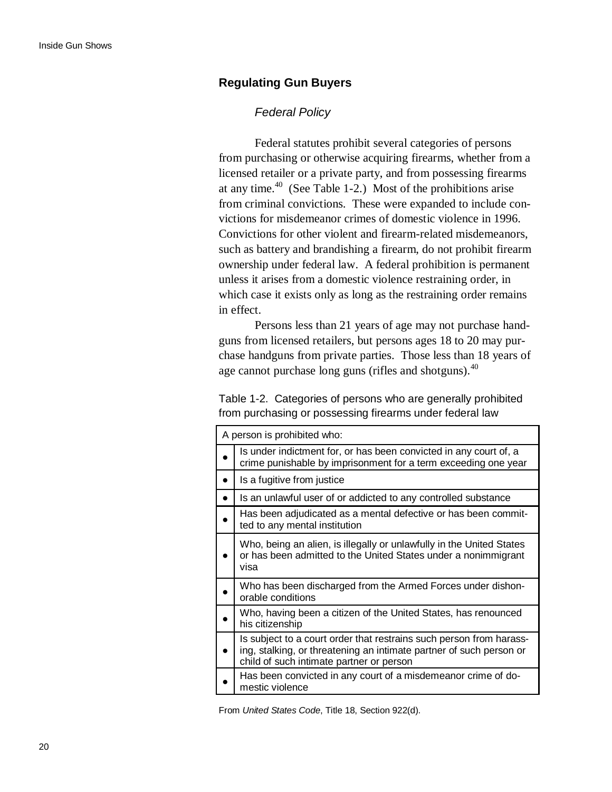### **Regulating Gun Buyers**

### *Federal Policy*

Federal statutes prohibit several categories of persons from purchasing or otherwise acquiring firearms, whether from a licensed retailer or a private party, and from possessing firearms at any time. $40$  (See Table 1-2.) Most of the prohibitions arise from criminal convictions. These were expanded to include convictions for misdemeanor crimes of domestic violence in 1996. Convictions for other violent and firearm-related misdemeanors, such as battery and brandishing a firearm, do not prohibit firearm ownership under federal law. A federal prohibition is permanent unless it arises from a domestic violence restraining order, in which case it exists only as long as the restraining order remains in effect.

Persons less than 21 years of age may not purchase handguns from licensed retailers, but persons ages 18 to 20 may purchase handguns from private parties. Those less than 18 years of age cannot purchase long guns (rifles and shotguns).<sup>40</sup>

Table 1-2. Categories of persons who are generally prohibited from purchasing or possessing firearms under federal law

| A person is prohibited who:                                                                                                                                                            |
|----------------------------------------------------------------------------------------------------------------------------------------------------------------------------------------|
| Is under indictment for, or has been convicted in any court of, a<br>crime punishable by imprisonment for a term exceeding one year                                                    |
| Is a fugitive from justice                                                                                                                                                             |
| Is an unlawful user of or addicted to any controlled substance                                                                                                                         |
| Has been adjudicated as a mental defective or has been commit-<br>ted to any mental institution                                                                                        |
| Who, being an alien, is illegally or unlawfully in the United States<br>or has been admitted to the United States under a nonimmigrant<br>visa                                         |
| Who has been discharged from the Armed Forces under dishon-<br>orable conditions                                                                                                       |
| Who, having been a citizen of the United States, has renounced<br>his citizenship                                                                                                      |
| Is subject to a court order that restrains such person from harass-<br>ing, stalking, or threatening an intimate partner of such person or<br>child of such intimate partner or person |
| Has been convicted in any court of a misdemeanor crime of do-<br>mestic violence                                                                                                       |

From *United States Code*, Title 18, Section 922(d).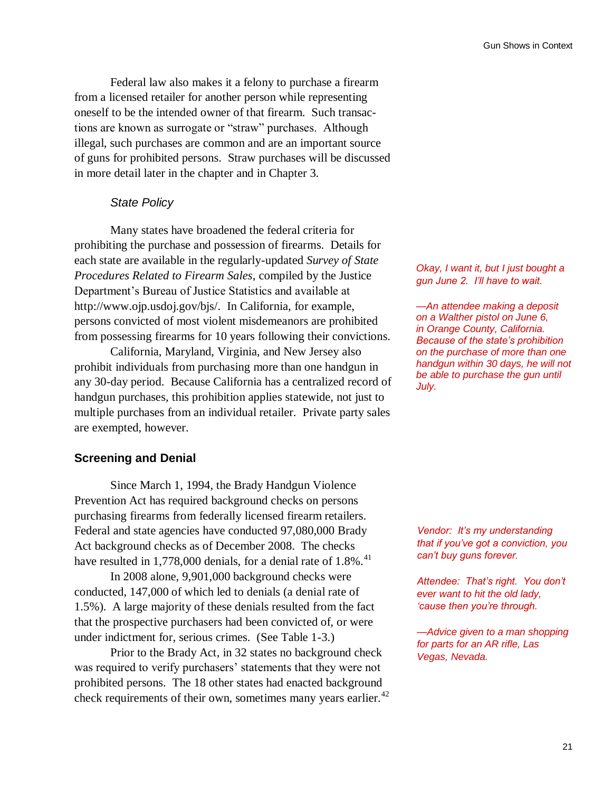Federal law also makes it a felony to purchase a firearm from a licensed retailer for another person while representing oneself to be the intended owner of that firearm. Such transactions are known as surrogate or "straw" purchases. Although illegal, such purchases are common and are an important source of guns for prohibited persons. Straw purchases will be discussed in more detail later in the chapter and in Chapter 3.

### *State Policy*

Many states have broadened the federal criteria for prohibiting the purchase and possession of firearms. Details for each state are available in the regularly-updated *Survey of State Procedures Related to Firearm Sales*, compiled by the Justice Department"s Bureau of Justice Statistics and available at http://www.ojp.usdoj.gov/bjs/. In California, for example, persons convicted of most violent misdemeanors are prohibited from possessing firearms for 10 years following their convictions.

California, Maryland, Virginia, and New Jersey also prohibit individuals from purchasing more than one handgun in any 30-day period. Because California has a centralized record of handgun purchases, this prohibition applies statewide, not just to multiple purchases from an individual retailer. Private party sales are exempted, however.

### **Screening and Denial**

Since March 1, 1994, the Brady Handgun Violence Prevention Act has required background checks on persons purchasing firearms from federally licensed firearm retailers. Federal and state agencies have conducted 97,080,000 Brady Act background checks as of December 2008. The checks have resulted in 1,778,000 denials, for a denial rate of  $1.8\%$ .<sup>41</sup>

In 2008 alone, 9,901,000 background checks were conducted, 147,000 of which led to denials (a denial rate of 1.5%). A large majority of these denials resulted from the fact that the prospective purchasers had been convicted of, or were under indictment for, serious crimes. (See Table 1-3.)

Prior to the Brady Act, in 32 states no background check was required to verify purchasers' statements that they were not prohibited persons. The 18 other states had enacted background check requirements of their own, sometimes many years earlier. $42$ 

*Okay, I want it, but I just bought a gun June 2. I"ll have to wait.*

*—An attendee making a deposit on a Walther pistol on June 6, in Orange County, California. Because of the state"s prohibition on the purchase of more than one handgun within 30 days, he will not be able to purchase the gun until July.*

*Vendor: It"s my understanding that if you"ve got a conviction, you can"t buy guns forever.*

*Attendee: That"s right. You don"t ever want to hit the old lady, "cause then you"re through.*

*—Advice given to a man shopping for parts for an AR rifle, Las Vegas, Nevada.*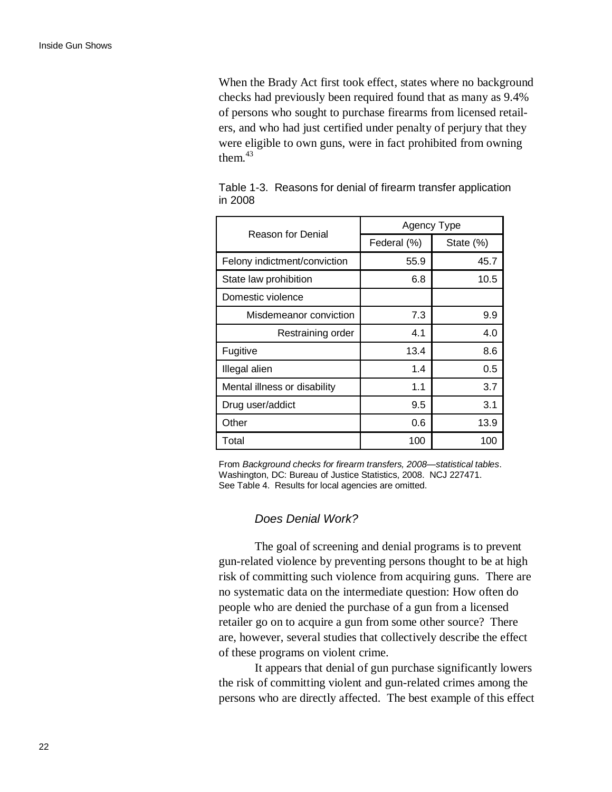When the Brady Act first took effect, states where no background checks had previously been required found that as many as 9.4% of persons who sought to purchase firearms from licensed retailers, and who had just certified under penalty of perjury that they were eligible to own guns, were in fact prohibited from owning them. $43$ 

| <b>Reason for Denial</b>     | Agency Type |           |  |
|------------------------------|-------------|-----------|--|
|                              | Federal (%) | State (%) |  |
| Felony indictment/conviction | 55.9        | 45.7      |  |
| State law prohibition        | 6.8         | 10.5      |  |
| Domestic violence            |             |           |  |
| Misdemeanor conviction       | 7.3         | 9.9       |  |
| Restraining order            | 4.1         | 4.0       |  |
| Fugitive                     | 13.4        | 8.6       |  |
| Illegal alien                | 1.4         | 0.5       |  |
| Mental illness or disability | 1.1         | 3.7       |  |
| Drug user/addict             | 9.5         | 3.1       |  |
| Other                        | 0.6         | 13.9      |  |
| Total                        | 100         | 100       |  |

Table 1-3. Reasons for denial of firearm transfer application in 2008

From *Background checks for firearm transfers, 2008—statistical tables*. Washington, DC: Bureau of Justice Statistics, 2008. NCJ 227471. See Table 4. Results for local agencies are omitted.

### *Does Denial Work?*

The goal of screening and denial programs is to prevent gun-related violence by preventing persons thought to be at high risk of committing such violence from acquiring guns. There are no systematic data on the intermediate question: How often do people who are denied the purchase of a gun from a licensed retailer go on to acquire a gun from some other source? There are, however, several studies that collectively describe the effect of these programs on violent crime.

It appears that denial of gun purchase significantly lowers the risk of committing violent and gun-related crimes among the persons who are directly affected. The best example of this effect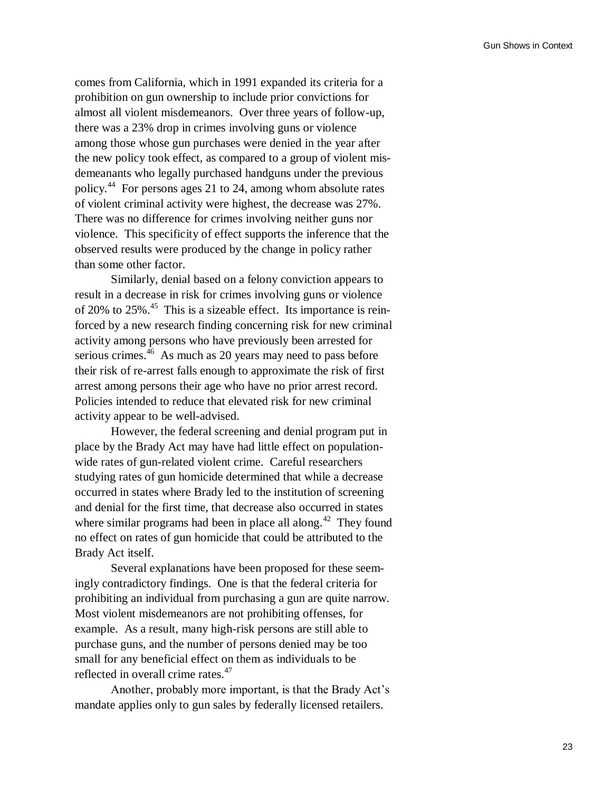comes from California, which in 1991 expanded its criteria for a prohibition on gun ownership to include prior convictions for almost all violent misdemeanors. Over three years of follow-up, there was a 23% drop in crimes involving guns or violence among those whose gun purchases were denied in the year after the new policy took effect, as compared to a group of violent misdemeanants who legally purchased handguns under the previous policy.<sup>44</sup> For persons ages 21 to 24, among whom absolute rates of violent criminal activity were highest, the decrease was 27%. There was no difference for crimes involving neither guns nor violence. This specificity of effect supports the inference that the observed results were produced by the change in policy rather than some other factor.

Similarly, denial based on a felony conviction appears to result in a decrease in risk for crimes involving guns or violence of 20% to 25% $<sup>45</sup>$ . This is a sizeable effect. Its importance is rein-</sup> forced by a new research finding concerning risk for new criminal activity among persons who have previously been arrested for serious crimes.<sup>46</sup> As much as 20 years may need to pass before their risk of re-arrest falls enough to approximate the risk of first arrest among persons their age who have no prior arrest record. Policies intended to reduce that elevated risk for new criminal activity appear to be well-advised.

However, the federal screening and denial program put in place by the Brady Act may have had little effect on populationwide rates of gun-related violent crime. Careful researchers studying rates of gun homicide determined that while a decrease occurred in states where Brady led to the institution of screening and denial for the first time, that decrease also occurred in states where similar programs had been in place all along. $42$  They found no effect on rates of gun homicide that could be attributed to the Brady Act itself.

Several explanations have been proposed for these seemingly contradictory findings. One is that the federal criteria for prohibiting an individual from purchasing a gun are quite narrow. Most violent misdemeanors are not prohibiting offenses, for example. As a result, many high-risk persons are still able to purchase guns, and the number of persons denied may be too small for any beneficial effect on them as individuals to be reflected in overall crime rates.<sup>47</sup>

Another, probably more important, is that the Brady Act"s mandate applies only to gun sales by federally licensed retailers.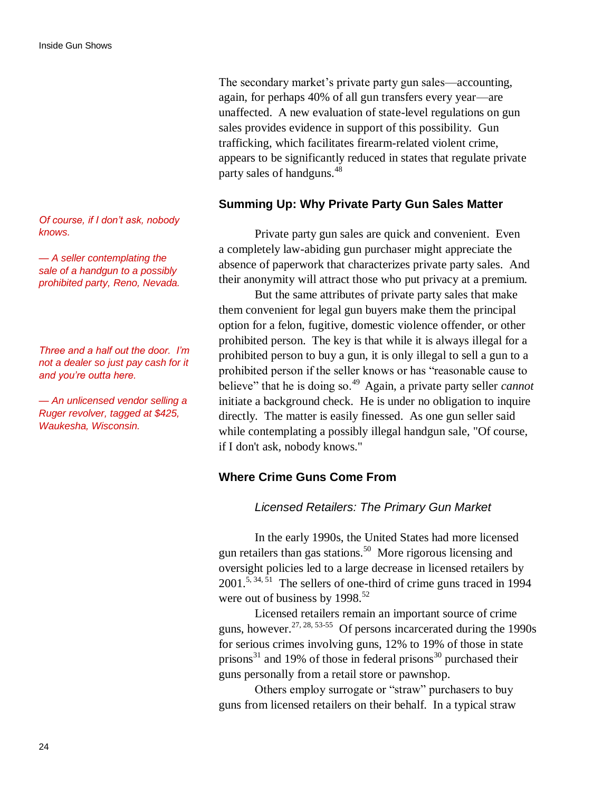*Of course, if I don"t ask, nobody knows.*

*— A seller contemplating the sale of a handgun to a possibly prohibited party, Reno, Nevada.*

*Three and a half out the door. I"m not a dealer so just pay cash for it and you"re outta here.*

*— An unlicensed vendor selling a Ruger revolver, tagged at \$425, Waukesha, Wisconsin.*

The secondary market's private party gun sales—accounting, again, for perhaps 40% of all gun transfers every year—are unaffected. A new evaluation of state-level regulations on gun sales provides evidence in support of this possibility. Gun trafficking, which facilitates firearm-related violent crime, appears to be significantly reduced in states that regulate private party sales of handguns.<sup>48</sup>

### **Summing Up: Why Private Party Gun Sales Matter**

Private party gun sales are quick and convenient. Even a completely law-abiding gun purchaser might appreciate the absence of paperwork that characterizes private party sales. And their anonymity will attract those who put privacy at a premium.

But the same attributes of private party sales that make them convenient for legal gun buyers make them the principal option for a felon, fugitive, domestic violence offender, or other prohibited person. The key is that while it is always illegal for a prohibited person to buy a gun, it is only illegal to sell a gun to a prohibited person if the seller knows or has "reasonable cause to believe" that he is doing so.<sup>49</sup> Again, a private party seller *cannot* initiate a background check. He is under no obligation to inquire directly. The matter is easily finessed. As one gun seller said while contemplating a possibly illegal handgun sale, "Of course, if I don't ask, nobody knows."

### **Where Crime Guns Come From**

### *Licensed Retailers: The Primary Gun Market*

In the early 1990s, the United States had more licensed gun retailers than gas stations.<sup>50</sup> More rigorous licensing and oversight policies led to a large decrease in licensed retailers by  $2001$ <sup>5, 34, 51</sup> The sellers of one-third of crime guns traced in 1994 were out of business by 1998.<sup>52</sup>

Licensed retailers remain an important source of crime guns, however.  $27, 28, 53-55$  Of persons incarcerated during the 1990s for serious crimes involving guns, 12% to 19% of those in state prisons $31$  and 19% of those in federal prisons $30$  purchased their guns personally from a retail store or pawnshop.

Others employ surrogate or "straw" purchasers to buy guns from licensed retailers on their behalf. In a typical straw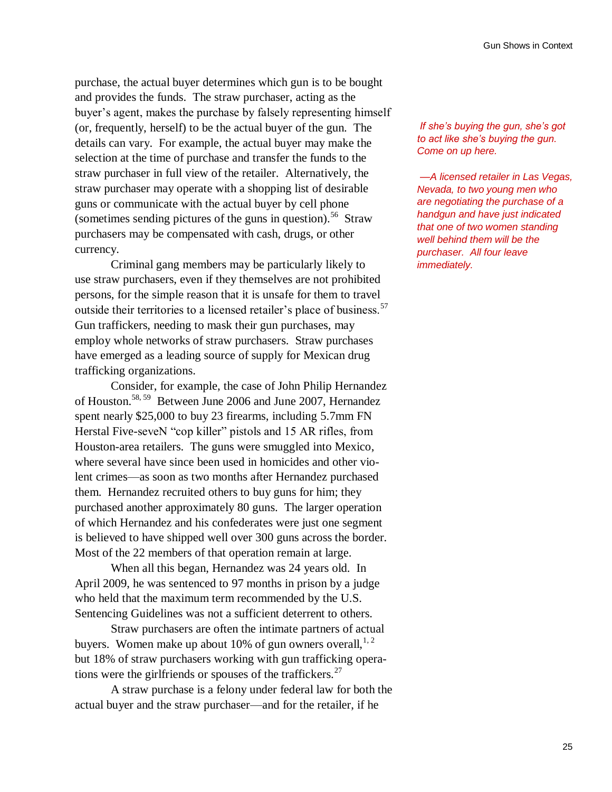purchase, the actual buyer determines which gun is to be bought and provides the funds. The straw purchaser, acting as the buyer"s agent, makes the purchase by falsely representing himself (or, frequently, herself) to be the actual buyer of the gun. The details can vary. For example, the actual buyer may make the selection at the time of purchase and transfer the funds to the straw purchaser in full view of the retailer. Alternatively, the straw purchaser may operate with a shopping list of desirable guns or communicate with the actual buyer by cell phone (sometimes sending pictures of the guns in question).<sup>56</sup> Straw purchasers may be compensated with cash, drugs, or other currency.

Criminal gang members may be particularly likely to use straw purchasers, even if they themselves are not prohibited persons, for the simple reason that it is unsafe for them to travel outside their territories to a licensed retailer's place of business.<sup>57</sup> Gun traffickers, needing to mask their gun purchases, may employ whole networks of straw purchasers. Straw purchases have emerged as a leading source of supply for Mexican drug trafficking organizations.

Consider, for example, the case of John Philip Hernandez of Houston.<sup>58, 59</sup> Between June 2006 and June 2007, Hernandez spent nearly \$25,000 to buy 23 firearms, including 5.7mm FN Herstal Five-seveN "cop killer" pistols and 15 AR rifles, from Houston-area retailers. The guns were smuggled into Mexico, where several have since been used in homicides and other violent crimes—as soon as two months after Hernandez purchased them. Hernandez recruited others to buy guns for him; they purchased another approximately 80 guns. The larger operation of which Hernandez and his confederates were just one segment is believed to have shipped well over 300 guns across the border. Most of the 22 members of that operation remain at large.

When all this began, Hernandez was 24 years old. In April 2009, he was sentenced to 97 months in prison by a judge who held that the maximum term recommended by the U.S. Sentencing Guidelines was not a sufficient deterrent to others.

Straw purchasers are often the intimate partners of actual buyers. Women make up about 10% of gun owners overall,  $1, 2$ but 18% of straw purchasers working with gun trafficking operations were the girlfriends or spouses of the traffickers.<sup>27</sup>

A straw purchase is a felony under federal law for both the actual buyer and the straw purchaser—and for the retailer, if he

*If she"s buying the gun, she"s got to act like she"s buying the gun. Come on up here.*

*—A licensed retailer in Las Vegas, Nevada, to two young men who are negotiating the purchase of a handgun and have just indicated that one of two women standing well behind them will be the purchaser. All four leave immediately.*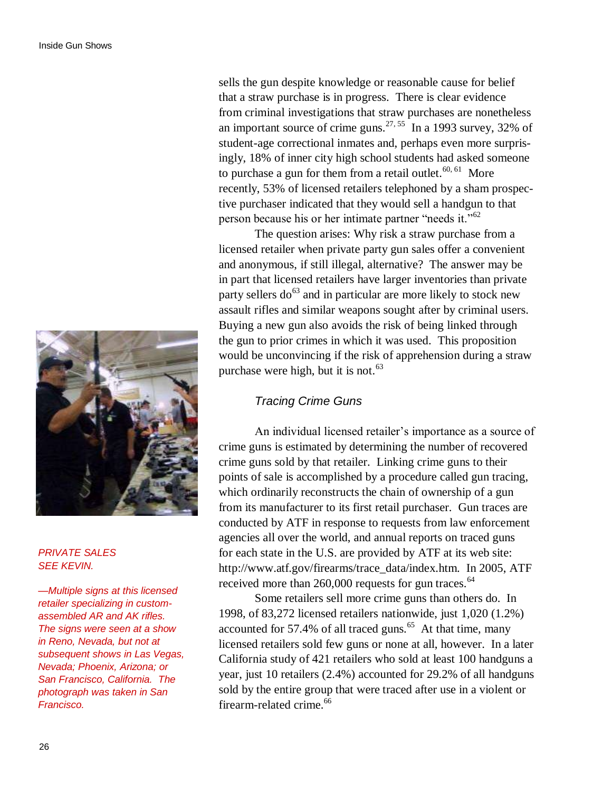

### *PRIVATE SALES SEE KEVIN.*

*—Multiple signs at this licensed retailer specializing in customassembled AR and AK rifles. The signs were seen at a show in Reno, Nevada, but not at subsequent shows in Las Vegas, Nevada; Phoenix, Arizona; or San Francisco, California. The photograph was taken in San Francisco.*

sells the gun despite knowledge or reasonable cause for belief that a straw purchase is in progress. There is clear evidence from criminal investigations that straw purchases are nonetheless an important source of crime guns.<sup>27, 55</sup> In a 1993 survey, 32% of student-age correctional inmates and, perhaps even more surprisingly, 18% of inner city high school students had asked someone to purchase a gun for them from a retail outlet.<sup>60, 61</sup> More recently, 53% of licensed retailers telephoned by a sham prospective purchaser indicated that they would sell a handgun to that person because his or her intimate partner "needs it."<sup>62</sup>

The question arises: Why risk a straw purchase from a licensed retailer when private party gun sales offer a convenient and anonymous, if still illegal, alternative? The answer may be in part that licensed retailers have larger inventories than private party sellers do<sup>63</sup> and in particular are more likely to stock new assault rifles and similar weapons sought after by criminal users. Buying a new gun also avoids the risk of being linked through the gun to prior crimes in which it was used. This proposition would be unconvincing if the risk of apprehension during a straw purchase were high, but it is not. $63$ 

### *Tracing Crime Guns*

An individual licensed retailer"s importance as a source of crime guns is estimated by determining the number of recovered crime guns sold by that retailer. Linking crime guns to their points of sale is accomplished by a procedure called gun tracing, which ordinarily reconstructs the chain of ownership of a gun from its manufacturer to its first retail purchaser. Gun traces are conducted by ATF in response to requests from law enforcement agencies all over the world, and annual reports on traced guns for each state in the U.S. are provided by ATF at its web site: http://www.atf.gov/firearms/trace\_data/index.htm. In 2005, ATF received more than 260,000 requests for gun traces.<sup>64</sup>

Some retailers sell more crime guns than others do. In 1998, of 83,272 licensed retailers nationwide, just 1,020 (1.2%) accounted for 57.4% of all traced guns. $<sup>65</sup>$  At that time, many</sup> licensed retailers sold few guns or none at all, however. In a later California study of 421 retailers who sold at least 100 handguns a year, just 10 retailers (2.4%) accounted for 29.2% of all handguns sold by the entire group that were traced after use in a violent or firearm-related crime.<sup>66</sup>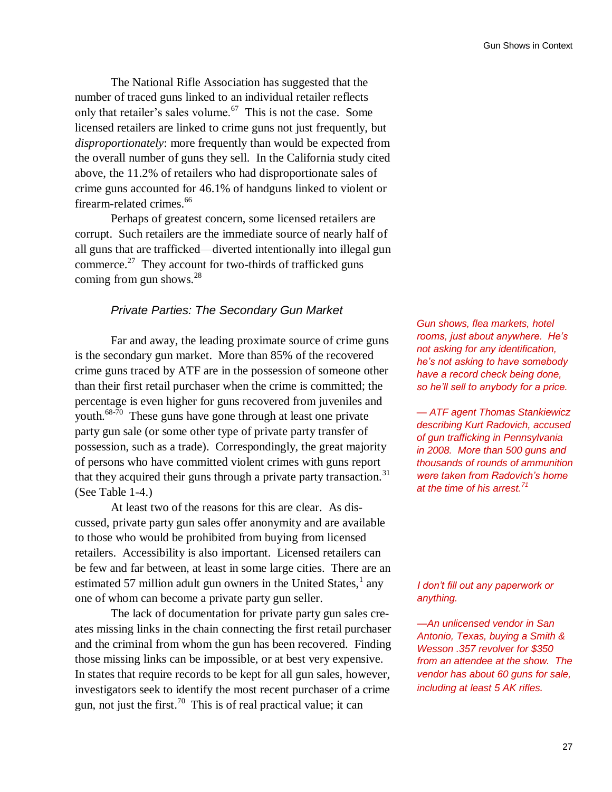The National Rifle Association has suggested that the number of traced guns linked to an individual retailer reflects only that retailer's sales volume. $67$  This is not the case. Some licensed retailers are linked to crime guns not just frequently, but *disproportionately*: more frequently than would be expected from the overall number of guns they sell. In the California study cited above, the 11.2% of retailers who had disproportionate sales of crime guns accounted for 46.1% of handguns linked to violent or firearm-related crimes.<sup>66</sup>

Perhaps of greatest concern, some licensed retailers are corrupt. Such retailers are the immediate source of nearly half of all guns that are trafficked—diverted intentionally into illegal gun commerce. $^{27}$  They account for two-thirds of trafficked guns coming from gun shows. $^{28}$ 

# *Private Parties: The Secondary Gun Market*

Far and away, the leading proximate source of crime guns is the secondary gun market. More than 85% of the recovered crime guns traced by ATF are in the possession of someone other than their first retail purchaser when the crime is committed; the percentage is even higher for guns recovered from juveniles and youth.<sup>68-70</sup> These guns have gone through at least one private party gun sale (or some other type of private party transfer of possession, such as a trade). Correspondingly, the great majority of persons who have committed violent crimes with guns report that they acquired their guns through a private party transaction.<sup>31</sup> (See Table 1-4.)

At least two of the reasons for this are clear. As discussed, private party gun sales offer anonymity and are available to those who would be prohibited from buying from licensed retailers. Accessibility is also important. Licensed retailers can be few and far between, at least in some large cities. There are an estimated 57 million adult gun owners in the United States, $<sup>1</sup>$  any</sup> one of whom can become a private party gun seller.

The lack of documentation for private party gun sales creates missing links in the chain connecting the first retail purchaser and the criminal from whom the gun has been recovered. Finding those missing links can be impossible, or at best very expensive. In states that require records to be kept for all gun sales, however, investigators seek to identify the most recent purchaser of a crime gun, not just the first.<sup>70</sup> This is of real practical value; it can

*Gun shows, flea markets, hotel rooms, just about anywhere. He"s not asking for any identification, he"s not asking to have somebody have a record check being done, so he"ll sell to anybody for a price.*

*— ATF agent Thomas Stankiewicz describing Kurt Radovich, accused of gun trafficking in Pennsylvania in 2008. More than 500 guns and thousands of rounds of ammunition were taken from Radovich"s home at the time of his arrest.<sup>71</sup>*

### *I don"t fill out any paperwork or anything.*

*—An unlicensed vendor in San Antonio, Texas, buying a Smith & Wesson .357 revolver for \$350 from an attendee at the show. The vendor has about 60 guns for sale, including at least 5 AK rifles.*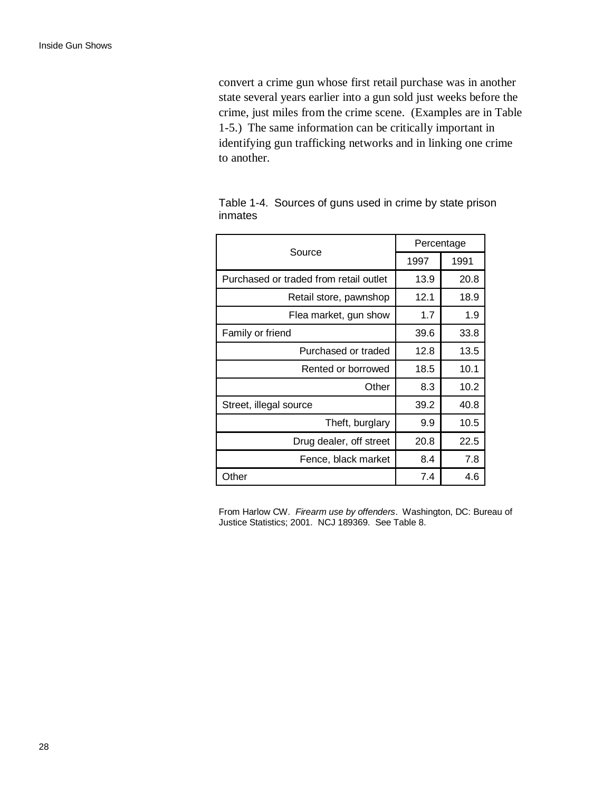convert a crime gun whose first retail purchase was in another state several years earlier into a gun sold just weeks before the crime, just miles from the crime scene. (Examples are in Table 1-5.) The same information can be critically important in identifying gun trafficking networks and in linking one crime to another.

| Source                                 | Percentage |      |
|----------------------------------------|------------|------|
|                                        | 1997       | 1991 |
| Purchased or traded from retail outlet | 13.9       | 20.8 |
| Retail store, pawnshop                 | 12.1       | 18.9 |
| Flea market, gun show                  | 1.7        | 1.9  |
| Family or friend                       | 39.6       | 33.8 |
| Purchased or traded                    | 12.8       | 13.5 |
| Rented or borrowed                     | 18.5       | 10.1 |
| Other                                  | 8.3        | 10.2 |
| Street, illegal source                 | 39.2       | 40.8 |
| Theft, burglary                        | 9.9        | 10.5 |
| Drug dealer, off street                | 20.8       | 22.5 |
| Fence, black market                    | 8.4        | 7.8  |
| Other                                  | 7.4        | 4.6  |

Table 1-4. Sources of guns used in crime by state prison inmates

From Harlow CW. *Firearm use by offenders*. Washington, DC: Bureau of Justice Statistics; 2001. NCJ 189369. See Table 8.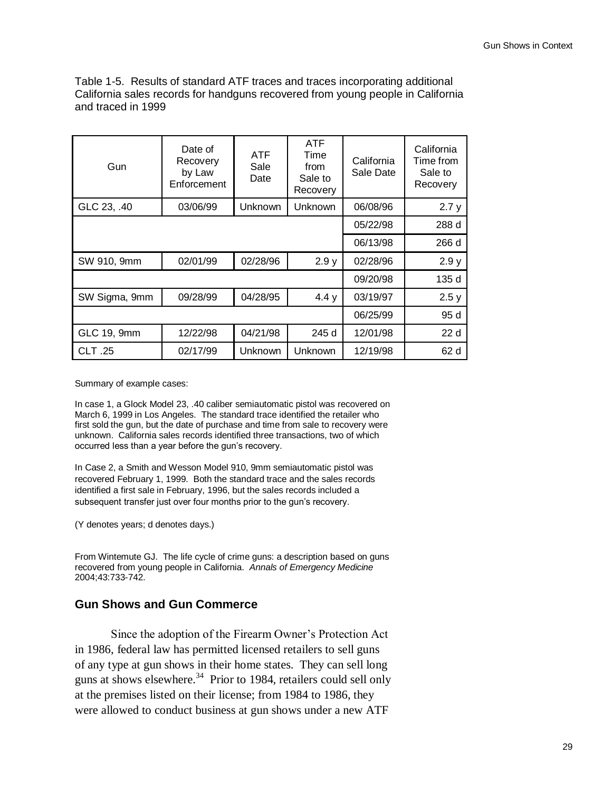Table 1-5. Results of standard ATF traces and traces incorporating additional California sales records for handguns recovered from young people in California and traced in 1999

| Gun           | Date of<br>Recovery<br>by Law<br>Enforcement | <b>ATF</b><br>Sale<br>Date | <b>ATF</b><br>Time<br>from<br>Sale to<br>Recovery | California<br>Sale Date | California<br>Time from<br>Sale to<br>Recovery |
|---------------|----------------------------------------------|----------------------------|---------------------------------------------------|-------------------------|------------------------------------------------|
| GLC 23, .40   | 03/06/99                                     | Unknown                    | Unknown                                           | 06/08/96                | 2.7y                                           |
|               | 05/22/98                                     | 288 d                      |                                                   |                         |                                                |
|               |                                              |                            |                                                   | 06/13/98                | 266 d                                          |
| SW 910, 9mm   | 02/01/99                                     | 02/28/96                   | 2.9y                                              | 02/28/96                | 2.9y                                           |
|               |                                              |                            |                                                   | 09/20/98                | 135 d                                          |
| SW Sigma, 9mm | 09/28/99                                     | 04/28/95                   | 4.4y                                              | 03/19/97                | 2.5y                                           |
|               |                                              |                            |                                                   | 06/25/99                | 95 d                                           |
| GLC 19, 9mm   | 12/22/98                                     | 04/21/98                   | 245 d                                             | 12/01/98                | 22d                                            |
| <b>CLT.25</b> | 02/17/99                                     | Unknown                    | Unknown                                           | 12/19/98                | 62 d                                           |

Summary of example cases:

In case 1, a Glock Model 23, .40 caliber semiautomatic pistol was recovered on March 6, 1999 in Los Angeles. The standard trace identified the retailer who first sold the gun, but the date of purchase and time from sale to recovery were unknown. California sales records identified three transactions, two of which occurred less than a year before the gun's recovery.

In Case 2, a Smith and Wesson Model 910, 9mm semiautomatic pistol was recovered February 1, 1999. Both the standard trace and the sales records identified a first sale in February, 1996, but the sales records included a subsequent transfer just over four months prior to the gun's recovery.

(Y denotes years; d denotes days.)

From Wintemute GJ. The life cycle of crime guns: a description based on guns recovered from young people in California. *Annals of Emergency Medicine* 2004;43:733-742.

### **Gun Shows and Gun Commerce**

Since the adoption of the Firearm Owner"s Protection Act in 1986, federal law has permitted licensed retailers to sell guns of any type at gun shows in their home states. They can sell long guns at shows elsewhere.<sup>34</sup> Prior to 1984, retailers could sell only at the premises listed on their license; from 1984 to 1986, they were allowed to conduct business at gun shows under a new ATF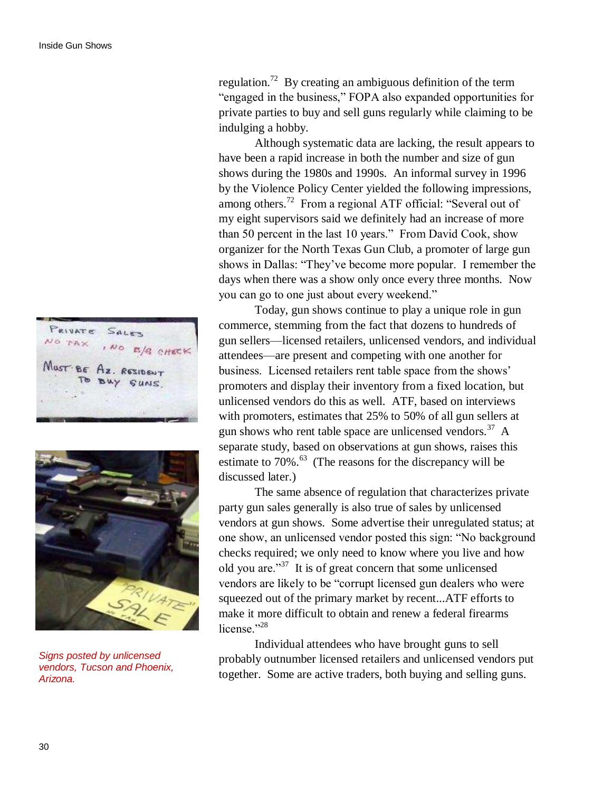PRIVATE SALES NO TAX  $1NQ$ B/B CHECK MUST BE Az.



*Signs posted by unlicensed vendors, Tucson and Phoenix, Arizona.*

regulation.<sup>72</sup> By creating an ambiguous definition of the term "engaged in the business," FOPA also expanded opportunities for private parties to buy and sell guns regularly while claiming to be indulging a hobby.

Although systematic data are lacking, the result appears to have been a rapid increase in both the number and size of gun shows during the 1980s and 1990s. An informal survey in 1996 by the Violence Policy Center yielded the following impressions, among others.<sup>72</sup> From a regional ATF official: "Several out of my eight supervisors said we definitely had an increase of more than 50 percent in the last 10 years." From David Cook, show organizer for the North Texas Gun Club, a promoter of large gun shows in Dallas: "They've become more popular. I remember the days when there was a show only once every three months. Now you can go to one just about every weekend."

Today, gun shows continue to play a unique role in gun commerce, stemming from the fact that dozens to hundreds of gun sellers—licensed retailers, unlicensed vendors, and individual attendees—are present and competing with one another for business. Licensed retailers rent table space from the shows' promoters and display their inventory from a fixed location, but unlicensed vendors do this as well. ATF, based on interviews with promoters, estimates that 25% to 50% of all gun sellers at gun shows who rent table space are unlicensed vendors.<sup>37</sup> A separate study, based on observations at gun shows, raises this estimate to  $70\%$ .<sup>63</sup> (The reasons for the discrepancy will be discussed later.)

The same absence of regulation that characterizes private party gun sales generally is also true of sales by unlicensed vendors at gun shows. Some advertise their unregulated status; at one show, an unlicensed vendor posted this sign: "No background checks required; we only need to know where you live and how old you are." $37$  It is of great concern that some unlicensed vendors are likely to be "corrupt licensed gun dealers who were squeezed out of the primary market by recent...ATF efforts to make it more difficult to obtain and renew a federal firearms license."<sup>28</sup>

Individual attendees who have brought guns to sell probably outnumber licensed retailers and unlicensed vendors put together. Some are active traders, both buying and selling guns.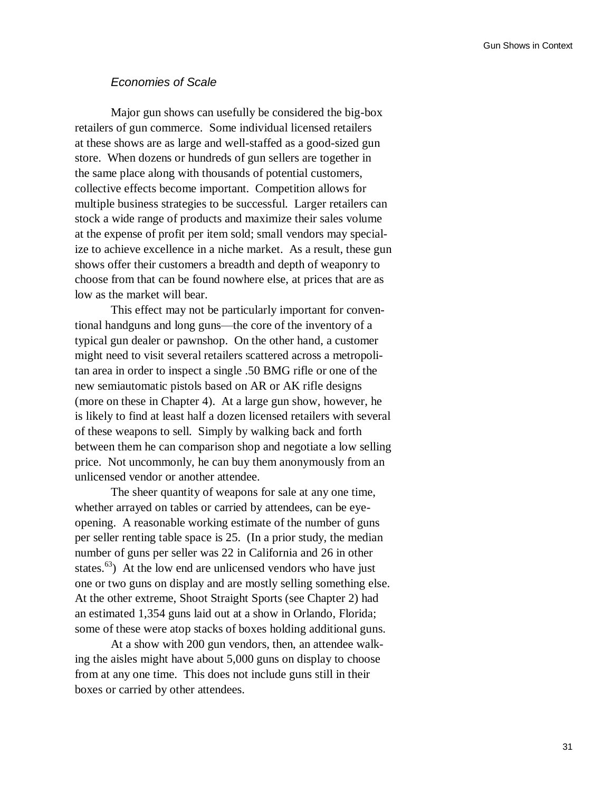### *Economies of Scale*

Major gun shows can usefully be considered the big-box retailers of gun commerce. Some individual licensed retailers at these shows are as large and well-staffed as a good-sized gun store. When dozens or hundreds of gun sellers are together in the same place along with thousands of potential customers, collective effects become important. Competition allows for multiple business strategies to be successful. Larger retailers can stock a wide range of products and maximize their sales volume at the expense of profit per item sold; small vendors may specialize to achieve excellence in a niche market. As a result, these gun shows offer their customers a breadth and depth of weaponry to choose from that can be found nowhere else, at prices that are as low as the market will bear.

This effect may not be particularly important for conventional handguns and long guns—the core of the inventory of a typical gun dealer or pawnshop. On the other hand, a customer might need to visit several retailers scattered across a metropolitan area in order to inspect a single .50 BMG rifle or one of the new semiautomatic pistols based on AR or AK rifle designs (more on these in Chapter 4). At a large gun show, however, he is likely to find at least half a dozen licensed retailers with several of these weapons to sell. Simply by walking back and forth between them he can comparison shop and negotiate a low selling price. Not uncommonly, he can buy them anonymously from an unlicensed vendor or another attendee.

The sheer quantity of weapons for sale at any one time, whether arrayed on tables or carried by attendees, can be eyeopening. A reasonable working estimate of the number of guns per seller renting table space is 25. (In a prior study, the median number of guns per seller was 22 in California and 26 in other states. $^{63}$ ) At the low end are unlicensed vendors who have just one or two guns on display and are mostly selling something else. At the other extreme, Shoot Straight Sports (see Chapter 2) had an estimated 1,354 guns laid out at a show in Orlando, Florida; some of these were atop stacks of boxes holding additional guns.

At a show with 200 gun vendors, then, an attendee walking the aisles might have about 5,000 guns on display to choose from at any one time. This does not include guns still in their boxes or carried by other attendees.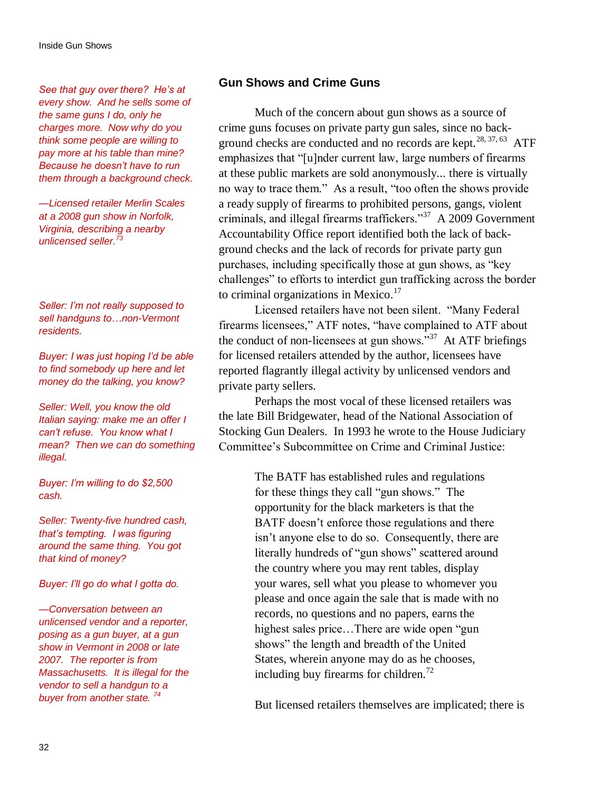*See that guy over there? He"s at every show. And he sells some of the same guns I do, only he charges more. Now why do you think some people are willing to pay more at his table than mine? Because he doesn"t have to run them through a background check.*

*—Licensed retailer Merlin Scales at a 2008 gun show in Norfolk, Virginia, describing a nearby unlicensed seller.<sup>73</sup>*

*Seller: I"m not really supposed to sell handguns to…non-Vermont residents.*

*Buyer: I was just hoping I"d be able to find somebody up here and let money do the talking, you know?*

*Seller: Well, you know the old Italian saying: make me an offer I can"t refuse. You know what I mean? Then we can do something illegal.*

*Buyer: I"m willing to do \$2,500 cash.*

*Seller: Twenty-five hundred cash, that"s tempting. I was figuring around the same thing. You got that kind of money?*

*Buyer: I"ll go do what I gotta do.*

*—Conversation between an unlicensed vendor and a reporter, posing as a gun buyer, at a gun show in Vermont in 2008 or late 2007. The reporter is from Massachusetts. It is illegal for the vendor to sell a handgun to a buyer from another state. <sup>74</sup>*

### **Gun Shows and Crime Guns**

Much of the concern about gun shows as a source of crime guns focuses on private party gun sales, since no background checks are conducted and no records are kept.<sup>28, 37, 63</sup> ATF emphasizes that "[u]nder current law, large numbers of firearms at these public markets are sold anonymously... there is virtually no way to trace them." As a result, "too often the shows provide a ready supply of firearms to prohibited persons, gangs, violent criminals, and illegal firearms traffickers."<sup>37</sup> A 2009 Government Accountability Office report identified both the lack of background checks and the lack of records for private party gun purchases, including specifically those at gun shows, as "key challenges" to efforts to interdict gun trafficking across the border to criminal organizations in Mexico. $17$ 

Licensed retailers have not been silent. "Many Federal firearms licensees," ATF notes, "have complained to ATF about the conduct of non-licensees at gun shows."<sup>37</sup> At ATF briefings for licensed retailers attended by the author, licensees have reported flagrantly illegal activity by unlicensed vendors and private party sellers.

Perhaps the most vocal of these licensed retailers was the late Bill Bridgewater, head of the National Association of Stocking Gun Dealers. In 1993 he wrote to the House Judiciary Committee"s Subcommittee on Crime and Criminal Justice:

> The BATF has established rules and regulations for these things they call "gun shows." The opportunity for the black marketers is that the BATF doesn't enforce those regulations and there isn"t anyone else to do so. Consequently, there are literally hundreds of "gun shows" scattered around the country where you may rent tables, display your wares, sell what you please to whomever you please and once again the sale that is made with no records, no questions and no papers, earns the highest sales price...There are wide open "gun" shows" the length and breadth of the United States, wherein anyone may do as he chooses, including buy firearms for children.<sup>72</sup>

But licensed retailers themselves are implicated; there is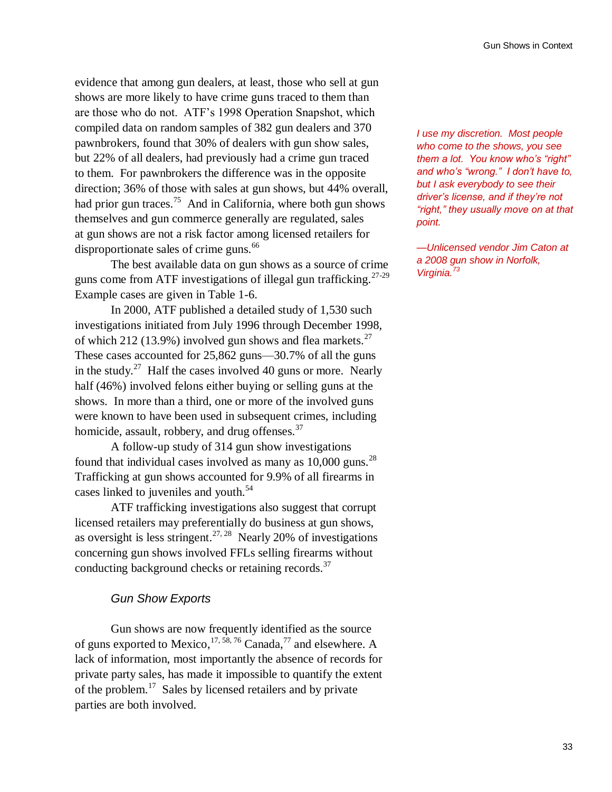evidence that among gun dealers, at least, those who sell at gun shows are more likely to have crime guns traced to them than are those who do not. ATF"s 1998 Operation Snapshot, which compiled data on random samples of 382 gun dealers and 370 pawnbrokers, found that 30% of dealers with gun show sales, but 22% of all dealers, had previously had a crime gun traced to them. For pawnbrokers the difference was in the opposite direction; 36% of those with sales at gun shows, but 44% overall, had prior gun traces.<sup>75</sup> And in California, where both gun shows themselves and gun commerce generally are regulated, sales at gun shows are not a risk factor among licensed retailers for disproportionate sales of crime guns.<sup>66</sup>

The best available data on gun shows as a source of crime guns come from ATF investigations of illegal gun trafficking.<sup>27-29</sup> Example cases are given in Table 1-6.

In 2000, ATF published a detailed study of 1,530 such investigations initiated from July 1996 through December 1998, of which 212 (13.9%) involved gun shows and flea markets.<sup>27</sup> These cases accounted for 25,862 guns—30.7% of all the guns in the study.<sup>27</sup> Half the cases involved 40 guns or more. Nearly half (46%) involved felons either buying or selling guns at the shows. In more than a third, one or more of the involved guns were known to have been used in subsequent crimes, including homicide, assault, robbery, and drug offenses.<sup>37</sup>

A follow-up study of 314 gun show investigations found that individual cases involved as many as  $10,000$  guns.<sup>28</sup> Trafficking at gun shows accounted for 9.9% of all firearms in cases linked to juveniles and youth.<sup>54</sup>

ATF trafficking investigations also suggest that corrupt licensed retailers may preferentially do business at gun shows, as oversight is less stringent.<sup>27, 28</sup> Nearly 20% of investigations concerning gun shows involved FFLs selling firearms without conducting background checks or retaining records.<sup>37</sup>

### *Gun Show Exports*

Gun shows are now frequently identified as the source of guns exported to Mexico,  $17, 58, 76$  Canada,  $77$  and elsewhere. A lack of information, most importantly the absence of records for private party sales, has made it impossible to quantify the extent of the problem.<sup>17</sup> Sales by licensed retailers and by private parties are both involved.

*I use my discretion. Most people who come to the shows, you see them a lot. You know who"s "right" and who"s "wrong." I don"t have to, but I ask everybody to see their driver"s license, and if they"re not "right," they usually move on at that point.*

*—Unlicensed vendor Jim Caton at a 2008 gun show in Norfolk, Virginia.<sup>73</sup>*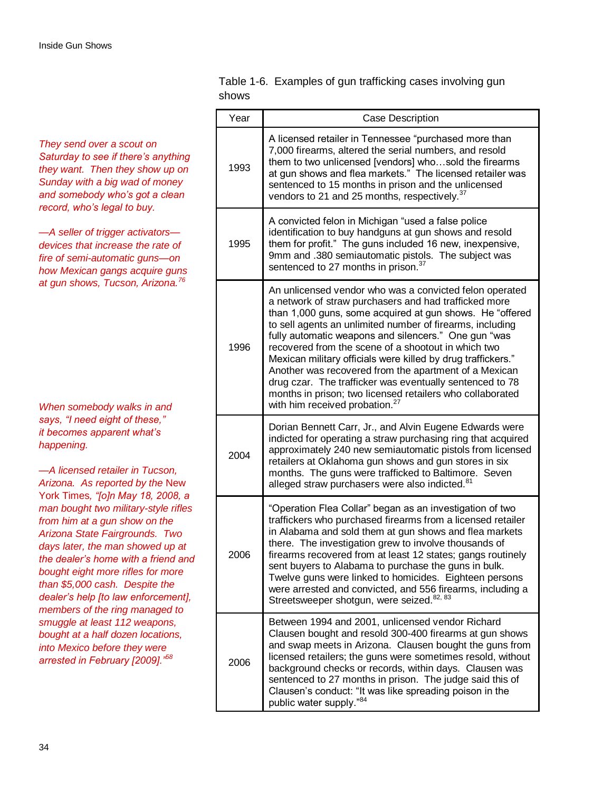*They send over a scout on Saturday to see if there"s anything they want. Then they show up on Sunday with a big wad of money and somebody who"s got a clean record, who"s legal to buy.*

*—A seller of trigger activators devices that increase the rate of fire of semi-automatic guns—on how Mexican gangs acquire guns at gun shows, Tucson, Arizona.<sup>76</sup>*

*When somebody walks in and says, "I need eight of these," it becomes apparent what"s happening.*

*—A licensed retailer in Tucson, Arizona. As reported by the* New York Times*, "[o]n May 18, 2008, a man bought two military-style rifles from him at a gun show on the Arizona State Fairgrounds. Two days later, the man showed up at the dealer"s home with a friend and bought eight more rifles for more than \$5,000 cash. Despite the dealer"s help [to law enforcement], members of the ring managed to smuggle at least 112 weapons, bought at a half dozen locations, into Mexico before they were arrested in February [2009]."<sup>58</sup>*

Table 1-6. Examples of gun trafficking cases involving gun shows

| Year | Case Description                                                                                                                                                                                                                                                                                                                                                                                                                                                                                                                                                                                                                                         |
|------|----------------------------------------------------------------------------------------------------------------------------------------------------------------------------------------------------------------------------------------------------------------------------------------------------------------------------------------------------------------------------------------------------------------------------------------------------------------------------------------------------------------------------------------------------------------------------------------------------------------------------------------------------------|
| 1993 | A licensed retailer in Tennessee "purchased more than<br>7,000 firearms, altered the serial numbers, and resold<br>them to two unlicensed [vendors] whosold the firearms<br>at gun shows and flea markets." The licensed retailer was<br>sentenced to 15 months in prison and the unlicensed<br>vendors to 21 and 25 months, respectively. <sup>37</sup>                                                                                                                                                                                                                                                                                                 |
| 1995 | A convicted felon in Michigan "used a false police<br>identification to buy handguns at gun shows and resold<br>them for profit." The guns included 16 new, inexpensive,<br>9mm and .380 semiautomatic pistols. The subject was<br>sentenced to 27 months in prison. <sup>37</sup>                                                                                                                                                                                                                                                                                                                                                                       |
| 1996 | An unlicensed vendor who was a convicted felon operated<br>a network of straw purchasers and had trafficked more<br>than 1,000 guns, some acquired at gun shows. He "offered<br>to sell agents an unlimited number of firearms, including<br>fully automatic weapons and silencers." One gun "was<br>recovered from the scene of a shootout in which two<br>Mexican military officials were killed by drug traffickers."<br>Another was recovered from the apartment of a Mexican<br>drug czar. The trafficker was eventually sentenced to 78<br>months in prison; two licensed retailers who collaborated<br>with him received probation. <sup>27</sup> |
| 2004 | Dorian Bennett Carr, Jr., and Alvin Eugene Edwards were<br>indicted for operating a straw purchasing ring that acquired<br>approximately 240 new semiautomatic pistols from licensed<br>retailers at Oklahoma gun shows and gun stores in six<br>months. The guns were trafficked to Baltimore. Seven<br>alleged straw purchasers were also indicted. <sup>81</sup>                                                                                                                                                                                                                                                                                      |
| 2006 | "Operation Flea Collar" began as an investigation of two<br>traffickers who purchased firearms from a licensed retailer<br>in Alabama and sold them at gun shows and flea markets<br>there. The investigation grew to involve thousands of<br>firearms recovered from at least 12 states; gangs routinely<br>sent buyers to Alabama to purchase the guns in bulk.<br>Twelve guns were linked to homicides. Eighteen persons<br>were arrested and convicted, and 556 firearms, including a<br>Streetsweeper shotgun, were seized. <sup>82, 83</sup>                                                                                                       |
| 2006 | Between 1994 and 2001, unlicensed vendor Richard<br>Clausen bought and resold 300-400 firearms at gun shows<br>and swap meets in Arizona. Clausen bought the guns from<br>licensed retailers; the guns were sometimes resold, without<br>background checks or records, within days. Clausen was<br>sentenced to 27 months in prison. The judge said this of<br>Clausen's conduct: "It was like spreading poison in the<br>public water supply."84                                                                                                                                                                                                        |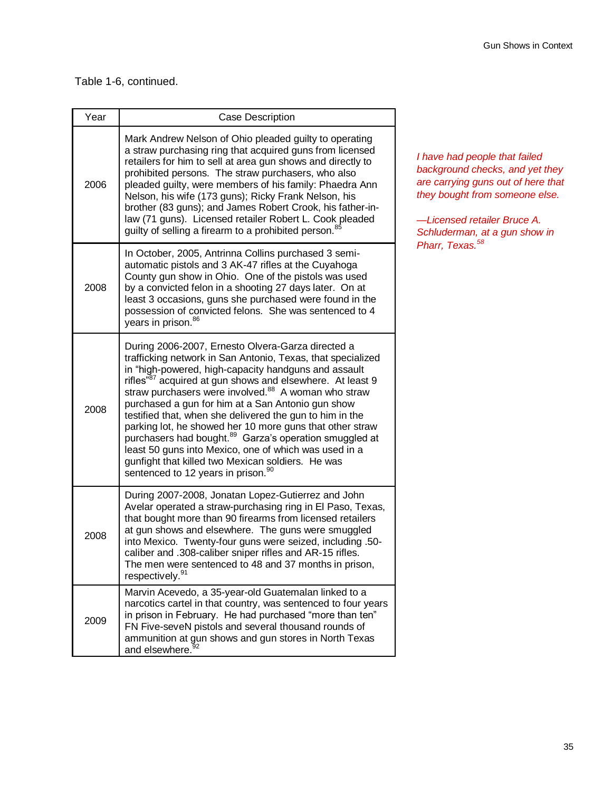### Table 1-6, continued.

| Year | <b>Case Description</b>                                                                                                                                                                                                                                                                                                                                                                                                                                                                                                                                                                                                                                                                                                                 |
|------|-----------------------------------------------------------------------------------------------------------------------------------------------------------------------------------------------------------------------------------------------------------------------------------------------------------------------------------------------------------------------------------------------------------------------------------------------------------------------------------------------------------------------------------------------------------------------------------------------------------------------------------------------------------------------------------------------------------------------------------------|
| 2006 | Mark Andrew Nelson of Ohio pleaded guilty to operating<br>a straw purchasing ring that acquired guns from licensed<br>retailers for him to sell at area gun shows and directly to<br>prohibited persons. The straw purchasers, who also<br>pleaded guilty, were members of his family: Phaedra Ann<br>Nelson, his wife (173 guns); Ricky Frank Nelson, his<br>brother (83 guns); and James Robert Crook, his father-in-<br>law (71 guns). Licensed retailer Robert L. Cook pleaded<br>guilty of selling a firearm to a prohibited person. <sup>85</sup>                                                                                                                                                                                 |
| 2008 | In October, 2005, Antrinna Collins purchased 3 semi-<br>automatic pistols and 3 AK-47 rifles at the Cuyahoga<br>County gun show in Ohio. One of the pistols was used<br>by a convicted felon in a shooting 27 days later. On at<br>least 3 occasions, guns she purchased were found in the<br>possession of convicted felons. She was sentenced to 4<br>years in prison. <sup>86</sup>                                                                                                                                                                                                                                                                                                                                                  |
| 2008 | During 2006-2007, Ernesto Olvera-Garza directed a<br>trafficking network in San Antonio, Texas, that specialized<br>in "high-powered, high-capacity handguns and assault<br>rifles" <sup>87</sup> acquired at gun shows and elsewhere. At least 9<br>straw purchasers were involved. <sup>88</sup> A woman who straw<br>purchased a gun for him at a San Antonio gun show<br>testified that, when she delivered the gun to him in the<br>parking lot, he showed her 10 more guns that other straw<br>purchasers had bought. <sup>89</sup> Garza's operation smuggled at<br>least 50 guns into Mexico, one of which was used in a<br>gunfight that killed two Mexican soldiers. He was<br>sentenced to 12 years in prison. <sup>90</sup> |
| 2008 | During 2007-2008, Jonatan Lopez-Gutierrez and John<br>Avelar operated a straw-purchasing ring in El Paso, Texas,<br>that bought more than 90 firearms from licensed retailers<br>at gun shows and elsewhere. The guns were smuggled<br>into Mexico. Twenty-four guns were seized, including .50-<br>caliber and .308-caliber sniper rifles and AR-15 rifles.<br>The men were sentenced to 48 and 37 months in prison,<br>respectively. <sup>91</sup>                                                                                                                                                                                                                                                                                    |
| 2009 | Marvin Acevedo, a 35-year-old Guatemalan linked to a<br>narcotics cartel in that country, was sentenced to four years<br>in prison in February. He had purchased "more than ten"<br>FN Five-seveN pistols and several thousand rounds of<br>ammunition at gun shows and gun stores in North Texas<br>and elsewhere. <sup>92</sup>                                                                                                                                                                                                                                                                                                                                                                                                       |

*I have had people that failed background checks, and yet they are carrying guns out of here that they bought from someone else.*

*—Licensed retailer Bruce A. Schluderman, at a gun show in Pharr, Texas.<sup>58</sup>*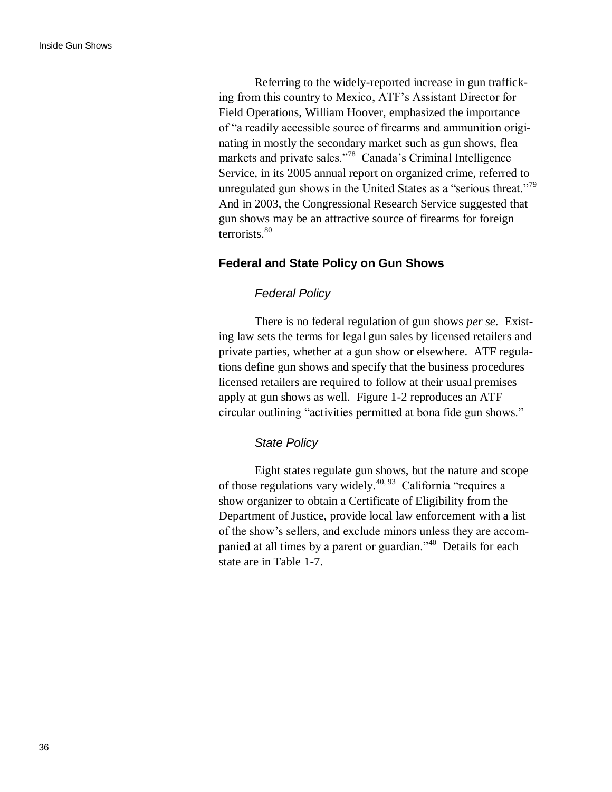Referring to the widely-reported increase in gun trafficking from this country to Mexico, ATF"s Assistant Director for Field Operations, William Hoover, emphasized the importance of "a readily accessible source of firearms and ammunition originating in mostly the secondary market such as gun shows, flea markets and private sales."<sup>78</sup> Canada's Criminal Intelligence Service, in its 2005 annual report on organized crime, referred to unregulated gun shows in the United States as a "serious threat."<sup>79</sup> And in 2003, the Congressional Research Service suggested that gun shows may be an attractive source of firearms for foreign terrorists.<sup>80</sup>

### **Federal and State Policy on Gun Shows**

### *Federal Policy*

There is no federal regulation of gun shows *per se*. Existing law sets the terms for legal gun sales by licensed retailers and private parties, whether at a gun show or elsewhere. ATF regulations define gun shows and specify that the business procedures licensed retailers are required to follow at their usual premises apply at gun shows as well. Figure 1-2 reproduces an ATF circular outlining "activities permitted at bona fide gun shows."

### *State Policy*

Eight states regulate gun shows, but the nature and scope of those regulations vary widely.<sup>40, 93</sup> California "requires a show organizer to obtain a Certificate of Eligibility from the Department of Justice, provide local law enforcement with a list of the show"s sellers, and exclude minors unless they are accompanied at all times by a parent or guardian."<sup>40</sup> Details for each state are in Table 1-7.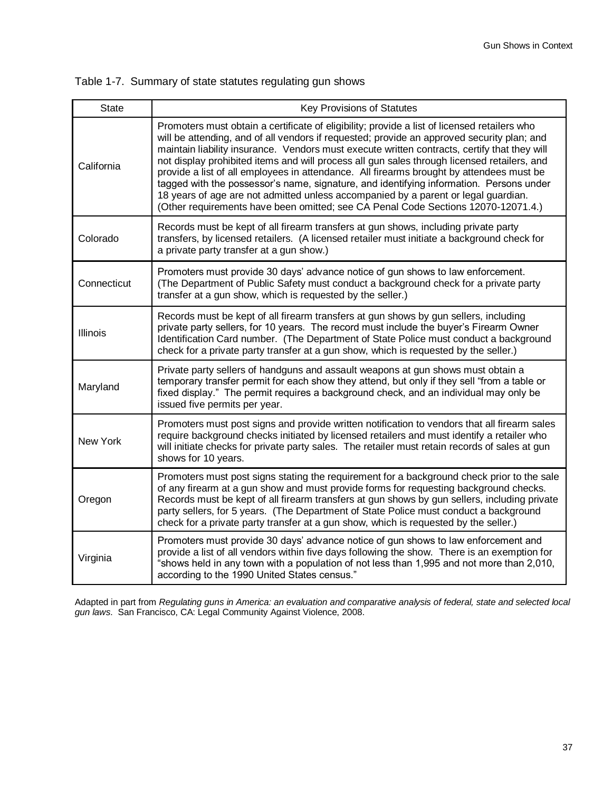| <b>State</b> | <b>Key Provisions of Statutes</b>                                                                                                                                                                                                                                                                                                                                                                                                                                                                                                                                                                                                                                                                                                                           |
|--------------|-------------------------------------------------------------------------------------------------------------------------------------------------------------------------------------------------------------------------------------------------------------------------------------------------------------------------------------------------------------------------------------------------------------------------------------------------------------------------------------------------------------------------------------------------------------------------------------------------------------------------------------------------------------------------------------------------------------------------------------------------------------|
| California   | Promoters must obtain a certificate of eligibility; provide a list of licensed retailers who<br>will be attending, and of all vendors if requested; provide an approved security plan; and<br>maintain liability insurance. Vendors must execute written contracts, certify that they will<br>not display prohibited items and will process all gun sales through licensed retailers, and<br>provide a list of all employees in attendance. All firearms brought by attendees must be<br>tagged with the possessor's name, signature, and identifying information. Persons under<br>18 years of age are not admitted unless accompanied by a parent or legal guardian.<br>(Other requirements have been omitted; see CA Penal Code Sections 12070-12071.4.) |
| Colorado     | Records must be kept of all firearm transfers at gun shows, including private party<br>transfers, by licensed retailers. (A licensed retailer must initiate a background check for<br>a private party transfer at a gun show.)                                                                                                                                                                                                                                                                                                                                                                                                                                                                                                                              |
| Connecticut  | Promoters must provide 30 days' advance notice of gun shows to law enforcement.<br>(The Department of Public Safety must conduct a background check for a private party<br>transfer at a gun show, which is requested by the seller.)                                                                                                                                                                                                                                                                                                                                                                                                                                                                                                                       |
| Illinois     | Records must be kept of all firearm transfers at gun shows by gun sellers, including<br>private party sellers, for 10 years. The record must include the buyer's Firearm Owner<br>Identification Card number. (The Department of State Police must conduct a background<br>check for a private party transfer at a gun show, which is requested by the seller.)                                                                                                                                                                                                                                                                                                                                                                                             |
| Maryland     | Private party sellers of handguns and assault weapons at gun shows must obtain a<br>temporary transfer permit for each show they attend, but only if they sell "from a table or<br>fixed display." The permit requires a background check, and an individual may only be<br>issued five permits per year.                                                                                                                                                                                                                                                                                                                                                                                                                                                   |
| New York     | Promoters must post signs and provide written notification to vendors that all firearm sales<br>require background checks initiated by licensed retailers and must identify a retailer who<br>will initiate checks for private party sales. The retailer must retain records of sales at gun<br>shows for 10 years.                                                                                                                                                                                                                                                                                                                                                                                                                                         |
| Oregon       | Promoters must post signs stating the requirement for a background check prior to the sale<br>of any firearm at a gun show and must provide forms for requesting background checks.<br>Records must be kept of all firearm transfers at gun shows by gun sellers, including private<br>party sellers, for 5 years. (The Department of State Police must conduct a background<br>check for a private party transfer at a gun show, which is requested by the seller.)                                                                                                                                                                                                                                                                                        |
| Virginia     | Promoters must provide 30 days' advance notice of gun shows to law enforcement and<br>provide a list of all vendors within five days following the show. There is an exemption for<br>"shows held in any town with a population of not less than 1,995 and not more than 2,010,<br>according to the 1990 United States census."                                                                                                                                                                                                                                                                                                                                                                                                                             |

Adapted in part from *Regulating guns in America: an evaluation and comparative analysis of federal, state and selected local gun laws*. San Francisco, CA: Legal Community Against Violence, 2008.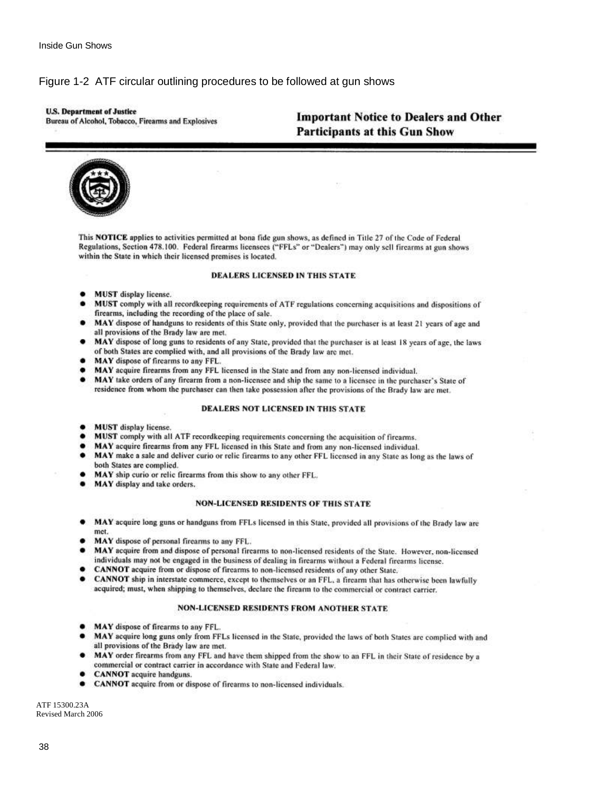### Figure 1-2 ATF circular outlining procedures to be followed at gun shows

### **U.S. Department of Justice**

Bureau of Alcohol, Tobacco, Firearms and Explosives

# **Important Notice to Dealers and Other Participants at this Gun Show**



This NOTICE applies to activities permitted at bona fide gun shows, as defined in Title 27 of the Code of Federal Regulations, Section 478.100. Federal firearms licensees ("FFLs" or "Dealers") may only sell firearms at gun shows within the State in which their licensed premises is located.

### **DEALERS LICENSED IN THIS STATE**

- MUST display license.
- MUST comply with all recordkeeping requirements of ATF regulations concerning acquisitions and dispositions of firearms, including the recording of the place of sale.
- MAY dispose of handguns to residents of this State only, provided that the purchaser is at least 21 years of age and all provisions of the Brady law are met.
- MAY dispose of long guns to residents of any State, provided that the purchaser is at least 18 years of age, the laws of both States are complied with, and all provisions of the Brady law are met.
- MAY dispose of firearms to any FFL.
- MAY acquire firearms from any FFL licensed in the State and from any non-licensed individual.
- ٠ MAY take orders of any firearm from a non-licensee and ship the same to a licensee in the purchaser's State of residence from whom the purchaser can then take possession after the provisions of the Brady law are met.

### **DEALERS NOT LICENSED IN THIS STATE**

- **MUST** display license. ٠
- MUST comply with all ATF recordkeeping requirements concerning the acquisition of firearms.
- MAY acquire firearms from any FFL licensed in this State and from any non-licensed individual.
- $\bullet$ MAY make a sale and deliver curio or relic firearms to any other FFL licensed in any State as long as the laws of both States are complied.
- MAY ship curio or relic firearms from this show to any other FFL. ٠
- MAY display and take orders.

### **NON-LICENSED RESIDENTS OF THIS STATE**

- MAY acquire long guns or handguns from FFLs licensed in this State, provided all provisions of the Brady law are met.
- MAY dispose of personal firearms to any FFL.
- MAY acquire from and dispose of personal firearms to non-licensed residents of the State. However, non-licensed individuals may not be engaged in the business of dealing in firearms without a Federal firearms license.
- CANNOT acquire from or dispose of firearms to non-licensed residents of any other State.
- CANNOT ship in interstate commerce, except to themselves or an FFL, a firearm that has otherwise been lawfully acquired; must, when shipping to themselves, declare the firearm to the commercial or contract carrier.

### **NON-LICENSED RESIDENTS FROM ANOTHER STATE**

- MAY dispose of firearms to any FFL.
- MAY acquire long guns only from FFLs licensed in the State, provided the laws of both States are complied with and all provisions of the Brady law are met.
- MAY order firearms from any FFL and have them shipped from the show to an FFL in their State of residence by a commercial or contract carrier in accordance with State and Federal law.
- **CANNOT** acquire handguns.
- **CANNOT** acquire from or dispose of firearms to non-licensed individuals.

ATF 15300.23A Revised March 2006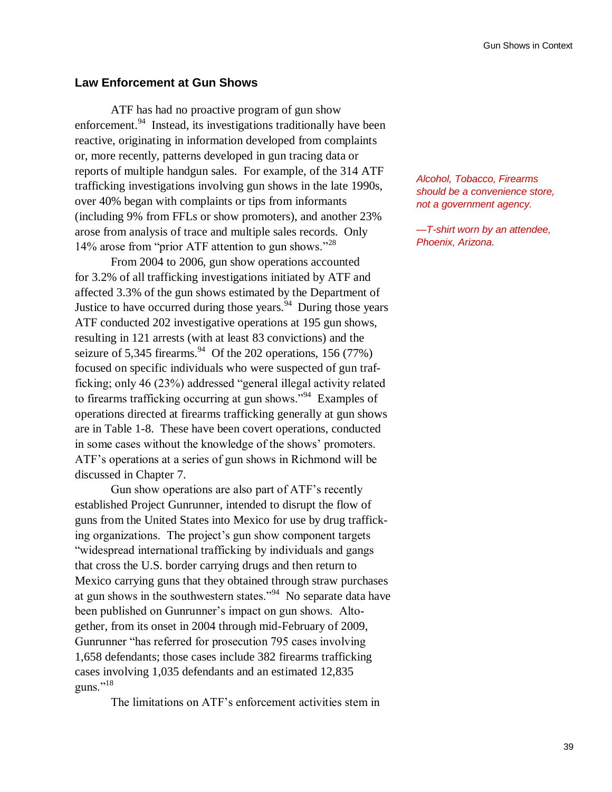### **Law Enforcement at Gun Shows**

ATF has had no proactive program of gun show enforcement.<sup>94</sup> Instead, its investigations traditionally have been reactive, originating in information developed from complaints or, more recently, patterns developed in gun tracing data or reports of multiple handgun sales. For example, of the 314 ATF trafficking investigations involving gun shows in the late 1990s, over 40% began with complaints or tips from informants (including 9% from FFLs or show promoters), and another 23% arose from analysis of trace and multiple sales records. Only 14% arose from "prior ATF attention to gun shows."<sup>28</sup>

From 2004 to 2006, gun show operations accounted for 3.2% of all trafficking investigations initiated by ATF and affected 3.3% of the gun shows estimated by the Department of Justice to have occurred during those years.  $94$  During those years ATF conducted 202 investigative operations at 195 gun shows, resulting in 121 arrests (with at least 83 convictions) and the seizure of 5,345 firearms.  $94$  Of the 202 operations, 156 (77%) focused on specific individuals who were suspected of gun trafficking; only 46 (23%) addressed "general illegal activity related to firearms trafficking occurring at gun shows."<sup>94</sup> Examples of operations directed at firearms trafficking generally at gun shows are in Table 1-8. These have been covert operations, conducted in some cases without the knowledge of the shows' promoters. ATF"s operations at a series of gun shows in Richmond will be discussed in Chapter 7.

Gun show operations are also part of ATF"s recently established Project Gunrunner, intended to disrupt the flow of guns from the United States into Mexico for use by drug trafficking organizations. The project's gun show component targets "widespread international trafficking by individuals and gangs that cross the U.S. border carrying drugs and then return to Mexico carrying guns that they obtained through straw purchases at gun shows in the southwestern states."<sup>94</sup> No separate data have been published on Gunrunner's impact on gun shows. Altogether, from its onset in 2004 through mid-February of 2009, Gunrunner "has referred for prosecution 795 cases involving 1,658 defendants; those cases include 382 firearms trafficking cases involving 1,035 defendants and an estimated 12,835 guns."<sup>18</sup>

The limitations on ATF"s enforcement activities stem in

*Alcohol, Tobacco, Firearms should be a convenience store, not a government agency.*

*—T-shirt worn by an attendee, Phoenix, Arizona.*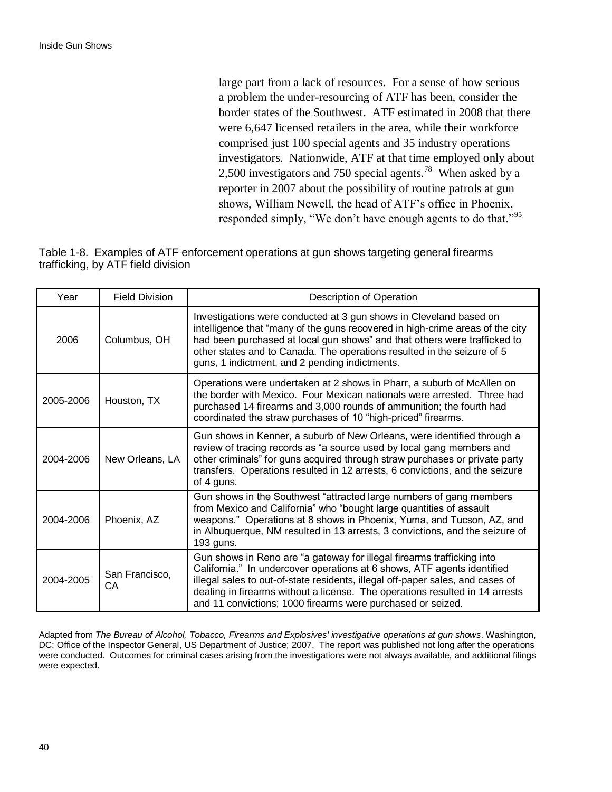large part from a lack of resources. For a sense of how serious a problem the under-resourcing of ATF has been, consider the border states of the Southwest. ATF estimated in 2008 that there were 6,647 licensed retailers in the area, while their workforce comprised just 100 special agents and 35 industry operations investigators. Nationwide, ATF at that time employed only about 2,500 investigators and 750 special agents.<sup>78</sup> When asked by a reporter in 2007 about the possibility of routine patrols at gun shows, William Newell, the head of ATF"s office in Phoenix, responded simply, "We don't have enough agents to do that."<sup>95</sup>

| Table 1-8. Examples of ATF enforcement operations at gun shows targeting general firearms |  |  |  |
|-------------------------------------------------------------------------------------------|--|--|--|
| trafficking, by ATF field division                                                        |  |  |  |

| Year      | <b>Field Division</b> | Description of Operation                                                                                                                                                                                                                                                                                                                                                           |
|-----------|-----------------------|------------------------------------------------------------------------------------------------------------------------------------------------------------------------------------------------------------------------------------------------------------------------------------------------------------------------------------------------------------------------------------|
| 2006      | Columbus, OH          | Investigations were conducted at 3 gun shows in Cleveland based on<br>intelligence that "many of the guns recovered in high-crime areas of the city<br>had been purchased at local gun shows" and that others were trafficked to<br>other states and to Canada. The operations resulted in the seizure of 5<br>guns, 1 indictment, and 2 pending indictments.                      |
| 2005-2006 | Houston, TX           | Operations were undertaken at 2 shows in Pharr, a suburb of McAllen on<br>the border with Mexico. Four Mexican nationals were arrested. Three had<br>purchased 14 firearms and 3,000 rounds of ammunition; the fourth had<br>coordinated the straw purchases of 10 "high-priced" firearms.                                                                                         |
| 2004-2006 | New Orleans, LA       | Gun shows in Kenner, a suburb of New Orleans, were identified through a<br>review of tracing records as "a source used by local gang members and<br>other criminals" for guns acquired through straw purchases or private party<br>transfers. Operations resulted in 12 arrests, 6 convictions, and the seizure<br>of 4 guns.                                                      |
| 2004-2006 | Phoenix, AZ           | Gun shows in the Southwest "attracted large numbers of gang members<br>from Mexico and California" who "bought large quantities of assault<br>weapons." Operations at 8 shows in Phoenix, Yuma, and Tucson, AZ, and<br>in Albuquerque, NM resulted in 13 arrests, 3 convictions, and the seizure of<br>193 guns.                                                                   |
| 2004-2005 | San Francisco,<br>CA  | Gun shows in Reno are "a gateway for illegal firearms trafficking into<br>California." In undercover operations at 6 shows, ATF agents identified<br>illegal sales to out-of-state residents, illegal off-paper sales, and cases of<br>dealing in firearms without a license. The operations resulted in 14 arrests<br>and 11 convictions; 1000 firearms were purchased or seized. |

Adapted from *The Bureau of Alcohol, Tobacco, Firearms and Explosives' investigative operations at gun shows*. Washington, DC: Office of the Inspector General, US Department of Justice; 2007. The report was published not long after the operations were conducted. Outcomes for criminal cases arising from the investigations were not always available, and additional filings were expected.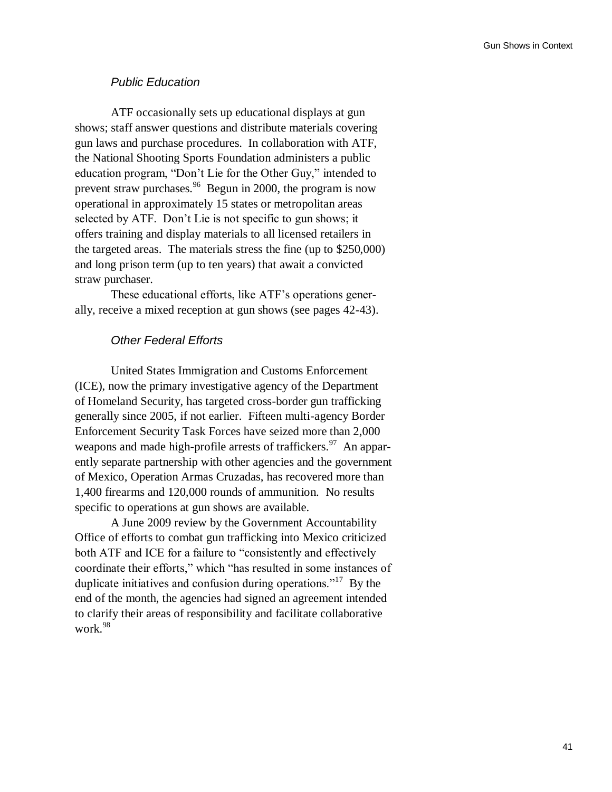### *Public Education*

ATF occasionally sets up educational displays at gun shows; staff answer questions and distribute materials covering gun laws and purchase procedures. In collaboration with ATF, the National Shooting Sports Foundation administers a public education program, "Don"t Lie for the Other Guy," intended to prevent straw purchases.<sup>96</sup> Begun in 2000, the program is now operational in approximately 15 states or metropolitan areas selected by ATF. Don"t Lie is not specific to gun shows; it offers training and display materials to all licensed retailers in the targeted areas. The materials stress the fine (up to \$250,000) and long prison term (up to ten years) that await a convicted straw purchaser.

These educational efforts, like ATF"s operations generally, receive a mixed reception at gun shows (see pages 42-43).

### *Other Federal Efforts*

United States Immigration and Customs Enforcement (ICE), now the primary investigative agency of the Department of Homeland Security, has targeted cross-border gun trafficking generally since 2005, if not earlier. Fifteen multi-agency Border Enforcement Security Task Forces have seized more than 2,000 weapons and made high-profile arrests of traffickers.<sup>97</sup> An apparently separate partnership with other agencies and the government of Mexico, Operation Armas Cruzadas, has recovered more than 1,400 firearms and 120,000 rounds of ammunition. No results specific to operations at gun shows are available.

A June 2009 review by the Government Accountability Office of efforts to combat gun trafficking into Mexico criticized both ATF and ICE for a failure to "consistently and effectively coordinate their efforts," which "has resulted in some instances of duplicate initiatives and confusion during operations."<sup>17</sup> By the end of the month, the agencies had signed an agreement intended to clarify their areas of responsibility and facilitate collaborative work.<sup>98</sup>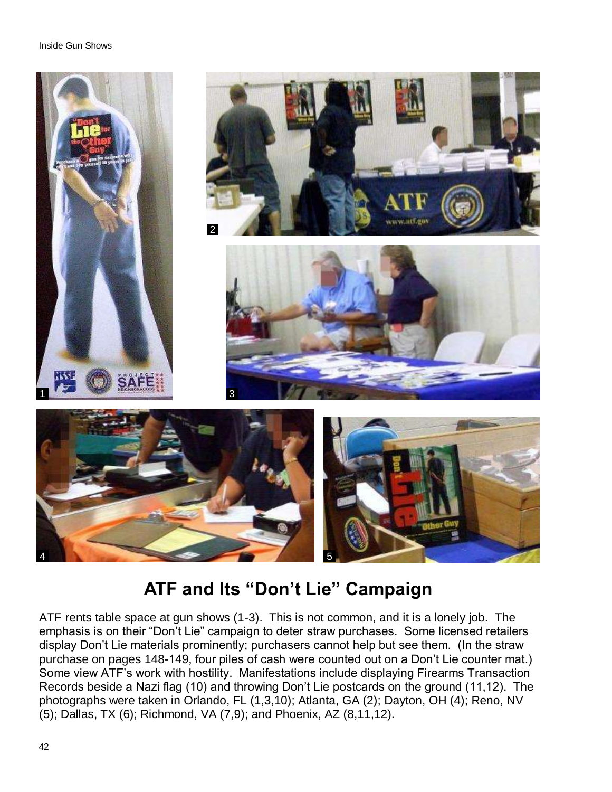

# **ATF and Its "Don't Lie" Campaign**

ATF rents table space at gun shows (1-3). This is not common, and it is a lonely job. The emphasis is on their "Don't Lie" campaign to deter straw purchases. Some licensed retailers display Don't Lie materials prominently; purchasers cannot help but see them. (In the straw purchase on pages 148-149, four piles of cash were counted out on a Don't Lie counter mat.) Some view ATF's work with hostility. Manifestations include displaying Firearms Transaction Records beside a Nazi flag (10) and throwing Don't Lie postcards on the ground (11,12). The photographs were taken in Orlando, FL (1,3,10); Atlanta, GA (2); Dayton, OH (4); Reno, NV (5); Dallas, TX (6); Richmond, VA (7,9); and Phoenix, AZ (8,11,12).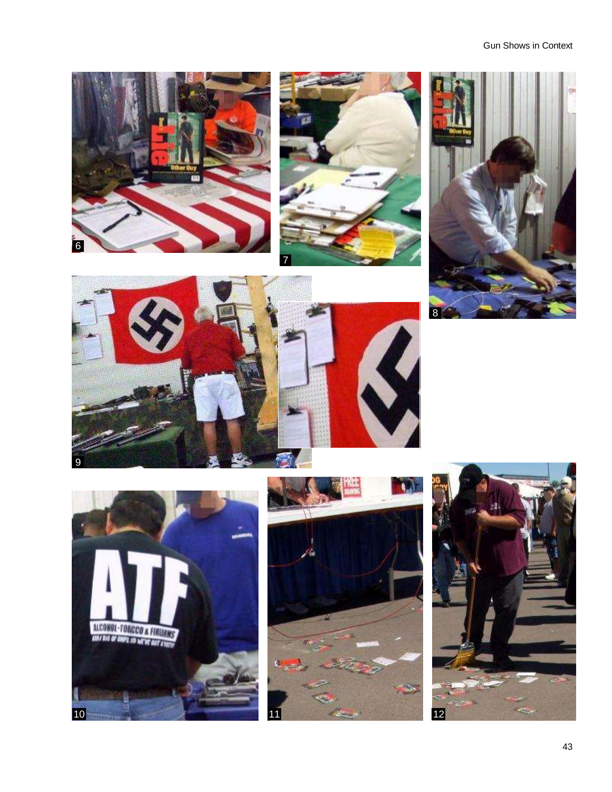### Gun Shows in Context















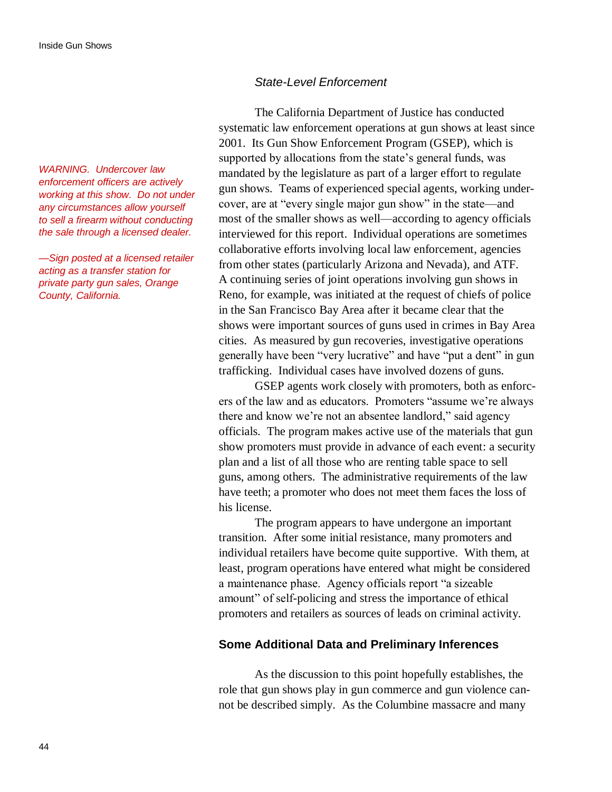*WARNING. Undercover law enforcement officers are actively working at this show. Do not under any circumstances allow yourself to sell a firearm without conducting the sale through a licensed dealer.*

*—Sign posted at a licensed retailer acting as a transfer station for private party gun sales, Orange County, California.*

### *State-Level Enforcement*

The California Department of Justice has conducted systematic law enforcement operations at gun shows at least since 2001. Its Gun Show Enforcement Program (GSEP), which is supported by allocations from the state's general funds, was mandated by the legislature as part of a larger effort to regulate gun shows. Teams of experienced special agents, working undercover, are at "every single major gun show" in the state—and most of the smaller shows as well—according to agency officials interviewed for this report. Individual operations are sometimes collaborative efforts involving local law enforcement, agencies from other states (particularly Arizona and Nevada), and ATF. A continuing series of joint operations involving gun shows in Reno, for example, was initiated at the request of chiefs of police in the San Francisco Bay Area after it became clear that the shows were important sources of guns used in crimes in Bay Area cities. As measured by gun recoveries, investigative operations generally have been "very lucrative" and have "put a dent" in gun trafficking. Individual cases have involved dozens of guns.

GSEP agents work closely with promoters, both as enforcers of the law and as educators. Promoters "assume we're always there and know we"re not an absentee landlord," said agency officials. The program makes active use of the materials that gun show promoters must provide in advance of each event: a security plan and a list of all those who are renting table space to sell guns, among others. The administrative requirements of the law have teeth; a promoter who does not meet them faces the loss of his license.

The program appears to have undergone an important transition. After some initial resistance, many promoters and individual retailers have become quite supportive. With them, at least, program operations have entered what might be considered a maintenance phase. Agency officials report "a sizeable amount" of self-policing and stress the importance of ethical promoters and retailers as sources of leads on criminal activity.

### **Some Additional Data and Preliminary Inferences**

As the discussion to this point hopefully establishes, the role that gun shows play in gun commerce and gun violence cannot be described simply. As the Columbine massacre and many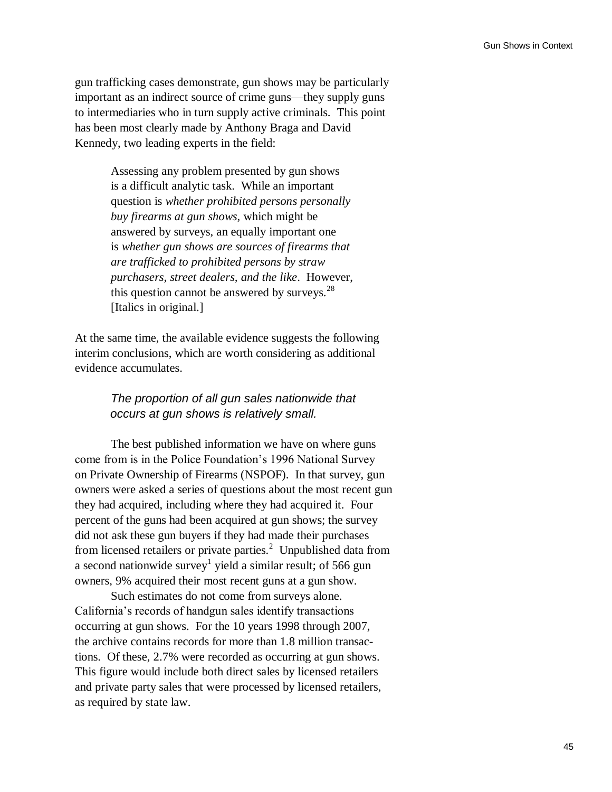gun trafficking cases demonstrate, gun shows may be particularly important as an indirect source of crime guns—they supply guns to intermediaries who in turn supply active criminals. This point has been most clearly made by Anthony Braga and David Kennedy, two leading experts in the field:

> Assessing any problem presented by gun shows is a difficult analytic task. While an important question is *whether prohibited persons personally buy firearms at gun shows*, which might be answered by surveys, an equally important one is *whether gun shows are sources of firearms that are trafficked to prohibited persons by straw purchasers, street dealers, and the like*. However, this question cannot be answered by surveys. $^{28}$ [Italics in original.]

At the same time, the available evidence suggests the following interim conclusions, which are worth considering as additional evidence accumulates.

### *The proportion of all gun sales nationwide that occurs at gun shows is relatively small.*

The best published information we have on where guns come from is in the Police Foundation"s 1996 National Survey on Private Ownership of Firearms (NSPOF). In that survey, gun owners were asked a series of questions about the most recent gun they had acquired, including where they had acquired it. Four percent of the guns had been acquired at gun shows; the survey did not ask these gun buyers if they had made their purchases from licensed retailers or private parties. $2$  Unpublished data from a second nationwide survey<sup>1</sup> yield a similar result; of 566 gun owners, 9% acquired their most recent guns at a gun show.

Such estimates do not come from surveys alone. California"s records of handgun sales identify transactions occurring at gun shows. For the 10 years 1998 through 2007, the archive contains records for more than 1.8 million transactions. Of these, 2.7% were recorded as occurring at gun shows. This figure would include both direct sales by licensed retailers and private party sales that were processed by licensed retailers, as required by state law.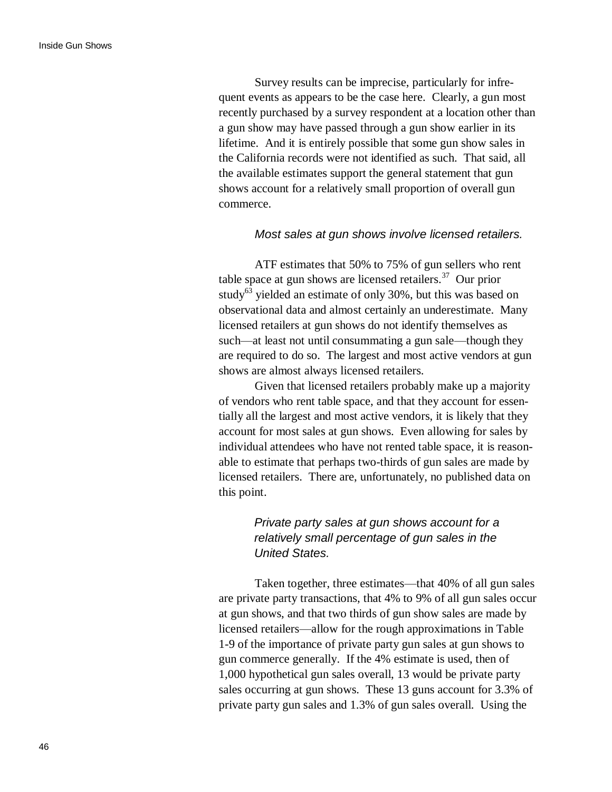Survey results can be imprecise, particularly for infrequent events as appears to be the case here. Clearly, a gun most recently purchased by a survey respondent at a location other than a gun show may have passed through a gun show earlier in its lifetime. And it is entirely possible that some gun show sales in the California records were not identified as such. That said, all the available estimates support the general statement that gun shows account for a relatively small proportion of overall gun commerce.

### *Most sales at gun shows involve licensed retailers.*

ATF estimates that 50% to 75% of gun sellers who rent table space at gun shows are licensed retailers.<sup>37</sup> Our prior study<sup>63</sup> yielded an estimate of only 30%, but this was based on observational data and almost certainly an underestimate. Many licensed retailers at gun shows do not identify themselves as such—at least not until consummating a gun sale—though they are required to do so. The largest and most active vendors at gun shows are almost always licensed retailers.

Given that licensed retailers probably make up a majority of vendors who rent table space, and that they account for essentially all the largest and most active vendors, it is likely that they account for most sales at gun shows. Even allowing for sales by individual attendees who have not rented table space, it is reasonable to estimate that perhaps two-thirds of gun sales are made by licensed retailers. There are, unfortunately, no published data on this point.

# *Private party sales at gun shows account for a relatively small percentage of gun sales in the United States.*

Taken together, three estimates—that 40% of all gun sales are private party transactions, that 4% to 9% of all gun sales occur at gun shows, and that two thirds of gun show sales are made by licensed retailers—allow for the rough approximations in Table 1-9 of the importance of private party gun sales at gun shows to gun commerce generally. If the 4% estimate is used, then of 1,000 hypothetical gun sales overall, 13 would be private party sales occurring at gun shows. These 13 guns account for 3.3% of private party gun sales and 1.3% of gun sales overall. Using the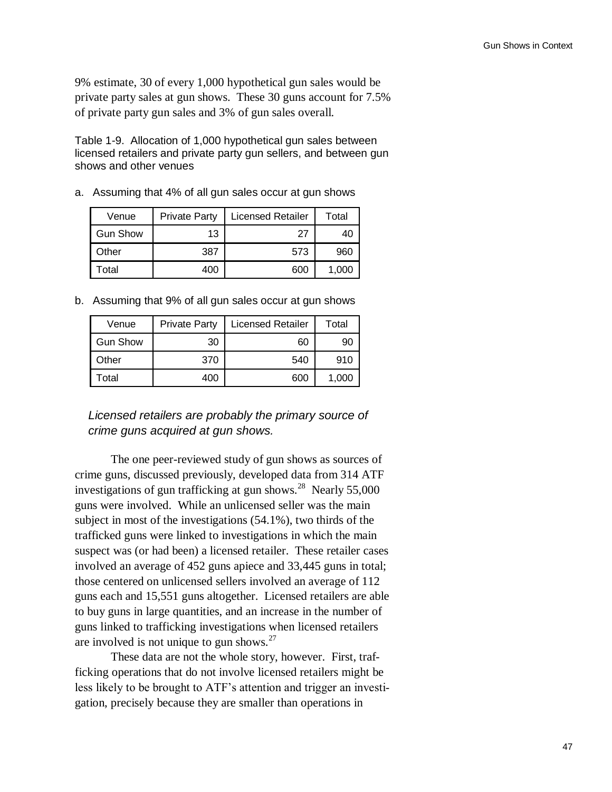9% estimate, 30 of every 1,000 hypothetical gun sales would be private party sales at gun shows. These 30 guns account for 7.5% of private party gun sales and 3% of gun sales overall.

Table 1-9. Allocation of 1,000 hypothetical gun sales between licensed retailers and private party gun sellers, and between gun shows and other venues

a. Assuming that 4% of all gun sales occur at gun shows

| Venue           | <b>Private Party</b> | <b>Licensed Retailer</b> | Total |
|-----------------|----------------------|--------------------------|-------|
| <b>Gun Show</b> | 13                   | 27                       | 40    |
| Other           | 387                  | 573                      | 960   |
| Γotal           | 400                  | 600                      | 1.000 |

b. Assuming that 9% of all gun sales occur at gun shows

| Venue           | <b>Private Party</b> | <b>Licensed Retailer</b> | Total |
|-----------------|----------------------|--------------------------|-------|
| <b>Gun Show</b> | 30                   | 60                       | 90    |
| Other           | 370                  | 540                      | 910   |
| Total           | 400                  | 600                      | 1,000 |

# *Licensed retailers are probably the primary source of crime guns acquired at gun shows.*

The one peer-reviewed study of gun shows as sources of crime guns, discussed previously, developed data from 314 ATF investigations of gun trafficking at gun shows. $28$  Nearly 55,000 guns were involved. While an unlicensed seller was the main subject in most of the investigations (54.1%), two thirds of the trafficked guns were linked to investigations in which the main suspect was (or had been) a licensed retailer. These retailer cases involved an average of 452 guns apiece and 33,445 guns in total; those centered on unlicensed sellers involved an average of 112 guns each and 15,551 guns altogether. Licensed retailers are able to buy guns in large quantities, and an increase in the number of guns linked to trafficking investigations when licensed retailers are involved is not unique to gun shows. $27$ 

These data are not the whole story, however. First, trafficking operations that do not involve licensed retailers might be less likely to be brought to ATF"s attention and trigger an investigation, precisely because they are smaller than operations in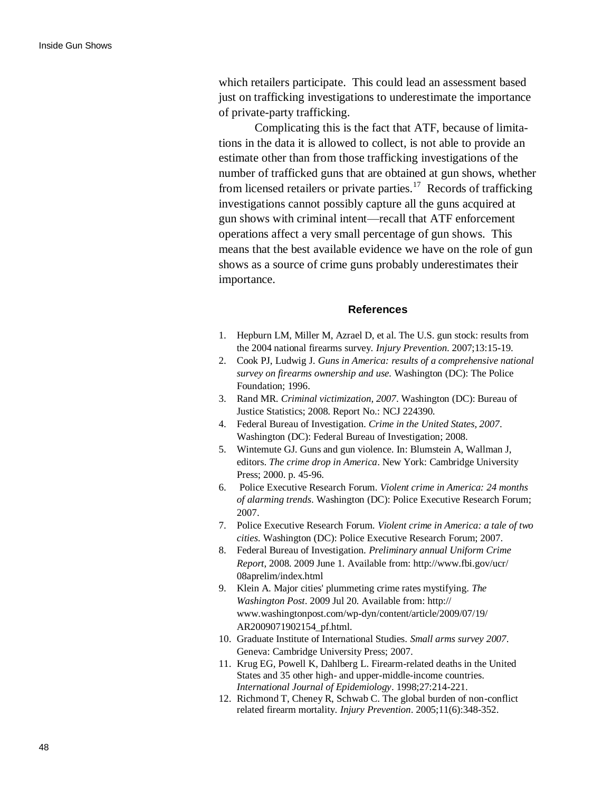which retailers participate. This could lead an assessment based just on trafficking investigations to underestimate the importance of private-party trafficking.

Complicating this is the fact that ATF, because of limitations in the data it is allowed to collect, is not able to provide an estimate other than from those trafficking investigations of the number of trafficked guns that are obtained at gun shows, whether from licensed retailers or private parties.<sup>17</sup> Records of trafficking investigations cannot possibly capture all the guns acquired at gun shows with criminal intent—recall that ATF enforcement operations affect a very small percentage of gun shows. This means that the best available evidence we have on the role of gun shows as a source of crime guns probably underestimates their importance.

### **References**

- 1. Hepburn LM, Miller M, Azrael D, et al. The U.S. gun stock: results from the 2004 national firearms survey. *Injury Prevention*. 2007;13:15-19.
- 2. Cook PJ, Ludwig J. *Guns in America: results of a comprehensive national survey on firearms ownership and use.* Washington (DC): The Police Foundation; 1996.
- 3. Rand MR. *Criminal victimization, 2007*. Washington (DC): Bureau of Justice Statistics; 2008. Report No.: NCJ 224390.
- 4. Federal Bureau of Investigation. *Crime in the United States, 2007*. Washington (DC): Federal Bureau of Investigation; 2008.
- 5. Wintemute GJ. Guns and gun violence. In: Blumstein A, Wallman J, editors. *The crime drop in America*. New York: Cambridge University Press; 2000. p. 45-96.
- 6. Police Executive Research Forum. *Violent crime in America: 24 months of alarming trends*. Washington (DC): Police Executive Research Forum; 2007.
- 7. Police Executive Research Forum. *Violent crime in America: a tale of two cities*. Washington (DC): Police Executive Research Forum; 2007.
- 8. Federal Bureau of Investigation. *Preliminary annual Uniform Crime Report*, 2008. 2009 June 1. Available from: [http://www.fbi.gov/ucr/](http://www.fbi.gov/ucr/08aprelim/index.html) [08aprelim/index.html](http://www.fbi.gov/ucr/08aprelim/index.html)
- 9. Klein A. Major cities' plummeting crime rates mystifying. *The Washington Post*. 2009 Jul 20. Available from: [http://](http://www.washingtonpost.com/wp-dyn/content/article/2009/07/19/AR2009071902154_pf.html) [www.washingtonpost.com/wp-dyn/content/article/2009/07/19/](http://www.washingtonpost.com/wp-dyn/content/article/2009/07/19/AR2009071902154_pf.html) [AR2009071902154\\_pf.html.](http://www.washingtonpost.com/wp-dyn/content/article/2009/07/19/AR2009071902154_pf.html)
- 10. Graduate Institute of International Studies. *Small arms survey 2007*. Geneva: Cambridge University Press; 2007.
- 11. Krug EG, Powell K, Dahlberg L. Firearm-related deaths in the United States and 35 other high- and upper-middle-income countries. *International Journal of Epidemiology*. 1998;27:214-221.
- 12. Richmond T, Cheney R, Schwab C. The global burden of non-conflict related firearm mortality. *Injury Prevention*. 2005;11(6):348-352.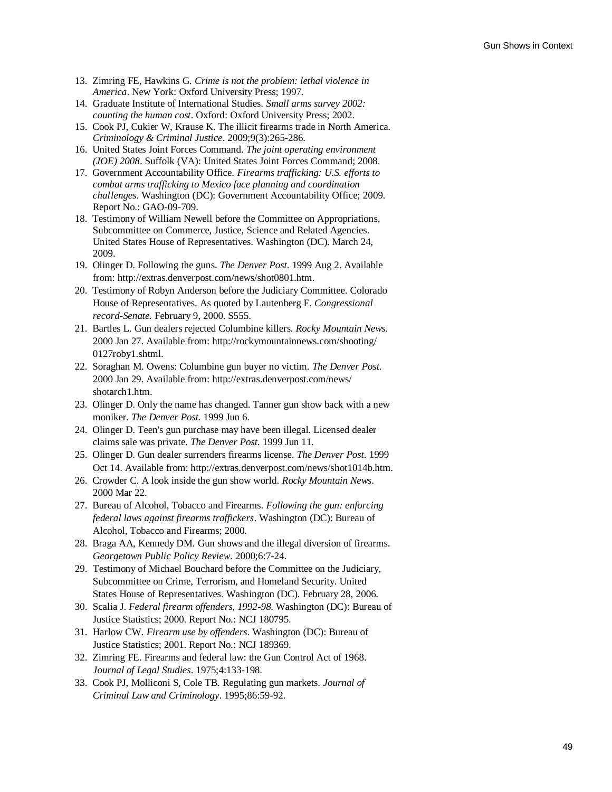- 13. Zimring FE, Hawkins G. *Crime is not the problem: lethal violence in America*. New York: Oxford University Press; 1997.
- 14. Graduate Institute of International Studies. *Small arms survey 2002: counting the human cost*. Oxford: Oxford University Press; 2002.
- 15. Cook PJ, Cukier W, Krause K. The illicit firearms trade in North America. *Criminology & Criminal Justice*. 2009;9(3):265-286.
- 16. United States Joint Forces Command. *The joint operating environment (JOE) 2008*. Suffolk (VA): United States Joint Forces Command; 2008.
- 17. Government Accountability Office. *Firearms trafficking: U.S. efforts to combat arms trafficking to Mexico face planning and coordination challenges*. Washington (DC): Government Accountability Office; 2009. Report No.: GAO-09-709.
- 18. Testimony of William Newell before the Committee on Appropriations, Subcommittee on Commerce, Justice, Science and Related Agencies. United States House of Representatives. Washington (DC). March 24, 2009.
- 19. Olinger D. Following the guns. *The Denver Post*. 1999 Aug 2. Available from: [http://extras.denverpost.com/news/shot0801.htm.](http://extras.denverpost.com/news/shot0801.htm)
- 20. Testimony of Robyn Anderson before the Judiciary Committee. Colorado House of Representatives. As quoted by Lautenberg F. *Congressional record-Senate.* February 9, 2000. S555.
- 21. Bartles L. Gun dealers rejected Columbine killers. *Rocky Mountain News*. 2000 Jan 27. Available from: [http://rockymountainnews.com/shooting/](http://denver.rockymountainnews.com/shooting/0127roby1.shtml)  [0127roby1.shtml.](http://denver.rockymountainnews.com/shooting/0127roby1.shtml)
- 22. Soraghan M. Owens: Columbine gun buyer no victim. *The Denver Post*. 2000 Jan 29. Available from: [http://extras.denverpost.com/news/](http://extras.denverpost.com/news/shotarch1.htm) [shotarch1.htm.](http://extras.denverpost.com/news/shotarch1.htm)
- 23. Olinger D. Only the name has changed. Tanner gun show back with a new moniker. *The Denver Post.* 1999 Jun 6.
- 24. Olinger D. Teen's gun purchase may have been illegal. Licensed dealer claims sale was private. *The Denver Post*. 1999 Jun 11.
- 25. Olinger D. Gun dealer surrenders firearms license. *The Denver Post*. 1999 Oct 14. Available from: [http://extras.denverpost.com/news/shot1014b.htm.](http://extras.denverpost.com/news/shot1014b.htm)
- 26. Crowder C. A look inside the gun show world. *Rocky Mountain News*. 2000 Mar 22.
- 27. Bureau of Alcohol, Tobacco and Firearms. *Following the gun: enforcing federal laws against firearms traffickers*. Washington (DC): Bureau of Alcohol, Tobacco and Firearms; 2000.
- 28. Braga AA, Kennedy DM. Gun shows and the illegal diversion of firearms. *Georgetown Public Policy Review*. 2000;6:7-24.
- 29. Testimony of Michael Bouchard before the Committee on the Judiciary, Subcommittee on Crime, Terrorism, and Homeland Security. United States House of Representatives. Washington (DC). February 28, 2006.
- 30. Scalia J. *Federal firearm offenders, 1992-98*. Washington (DC): Bureau of Justice Statistics; 2000. Report No.: NCJ 180795.
- 31. Harlow CW. *Firearm use by offenders*. Washington (DC): Bureau of Justice Statistics; 2001. Report No.: NCJ 189369.
- 32. Zimring FE. Firearms and federal law: the Gun Control Act of 1968. *Journal of Legal Studies*. 1975;4:133-198.
- 33. Cook PJ, Molliconi S, Cole TB. Regulating gun markets. *Journal of Criminal Law and Criminology*. 1995;86:59-92.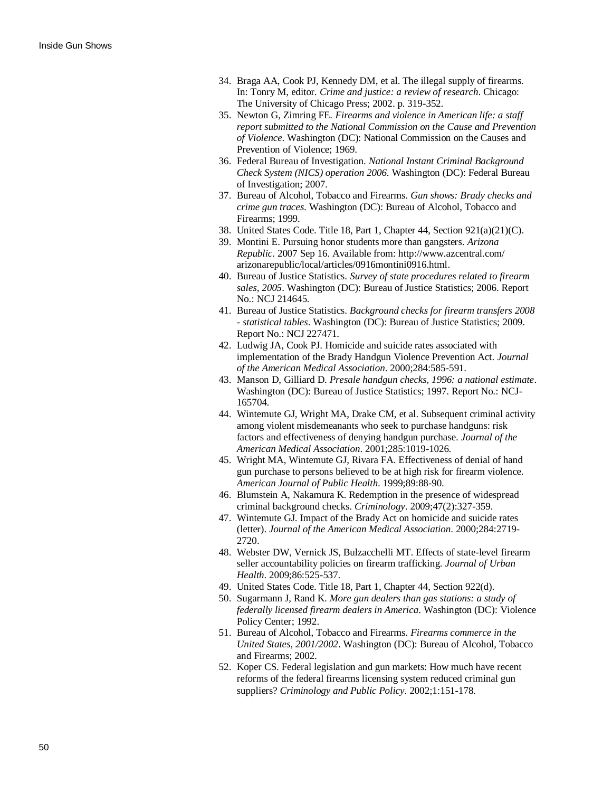- 34. Braga AA, Cook PJ, Kennedy DM, et al. The illegal supply of firearms. In: Tonry M, editor. *Crime and justice: a review of research*. Chicago: The University of Chicago Press; 2002. p. 319-352.
- 35. Newton G, Zimring FE. *Firearms and violence in American life: a staff report submitted to the National Commission on the Cause and Prevention of Violence*. Washington (DC): National Commission on the Causes and Prevention of Violence; 1969.
- 36. Federal Bureau of Investigation. *National Instant Criminal Background Check System (NICS) operation 2006*. Washington (DC): Federal Bureau of Investigation; 2007.
- 37. Bureau of Alcohol, Tobacco and Firearms. *Gun shows: Brady checks and crime gun traces*. Washington (DC): Bureau of Alcohol, Tobacco and Firearms; 1999.
- 38. United States Code. Title 18, Part 1, Chapter 44, Section 921(a)(21)(C).
- 39. Montini E. Pursuing honor students more than gangsters. *Arizona Republic*. 2007 Sep 16. Available from: [http://www.azcentral.com/](http://www.azcentral.com/arizonarepublic/local/articles/0916montini0916.html) [arizonarepublic/local/articles/0916montini0916.html.](http://www.azcentral.com/arizonarepublic/local/articles/0916montini0916.html)
- 40. Bureau of Justice Statistics. *Survey of state procedures related to firearm sales, 2005*. Washington (DC): Bureau of Justice Statistics; 2006. Report No.: NCJ 214645.
- 41. Bureau of Justice Statistics. *Background checks for firearm transfers 2008 - statistical tables*. Washington (DC): Bureau of Justice Statistics; 2009. Report No.: NCJ 227471.
- 42. Ludwig JA, Cook PJ. Homicide and suicide rates associated with implementation of the Brady Handgun Violence Prevention Act. *Journal of the American Medical Association*. 2000;284:585-591.
- 43. Manson D, Gilliard D. *Presale handgun checks, 1996: a national estimate*. Washington (DC): Bureau of Justice Statistics; 1997. Report No.: NCJ-165704.
- 44. Wintemute GJ, Wright MA, Drake CM, et al. Subsequent criminal activity among violent misdemeanants who seek to purchase handguns: risk factors and effectiveness of denying handgun purchase. *Journal of the American Medical Association*. 2001;285:1019-1026.
- 45. Wright MA, Wintemute GJ, Rivara FA. Effectiveness of denial of hand gun purchase to persons believed to be at high risk for firearm violence. *American Journal of Public Health*. 1999;89:88-90.
- 46. Blumstein A, Nakamura K. Redemption in the presence of widespread criminal background checks. *Criminology*. 2009;47(2):327-359.
- 47. Wintemute GJ. Impact of the Brady Act on homicide and suicide rates (letter). *Journal of the American Medical Association*. 2000;284:2719- 2720.
- 48. Webster DW, Vernick JS, Bulzacchelli MT. Effects of state-level firearm seller accountability policies on firearm trafficking. *Journal of Urban Health*. 2009;86:525-537.
- 49. United States Code. Title 18, Part 1, Chapter 44, Section 922(d).
- 50. Sugarmann J, Rand K. *More gun dealers than gas stations: a study of federally licensed firearm dealers in America*. Washington (DC): Violence Policy Center; 1992.
- 51. Bureau of Alcohol, Tobacco and Firearms. *Firearms commerce in the United States, 2001/2002*. Washington (DC): Bureau of Alcohol, Tobacco and Firearms; 2002.
- 52. Koper CS. Federal legislation and gun markets: How much have recent reforms of the federal firearms licensing system reduced criminal gun suppliers? *Criminology and Public Policy*. 2002;1:151-178.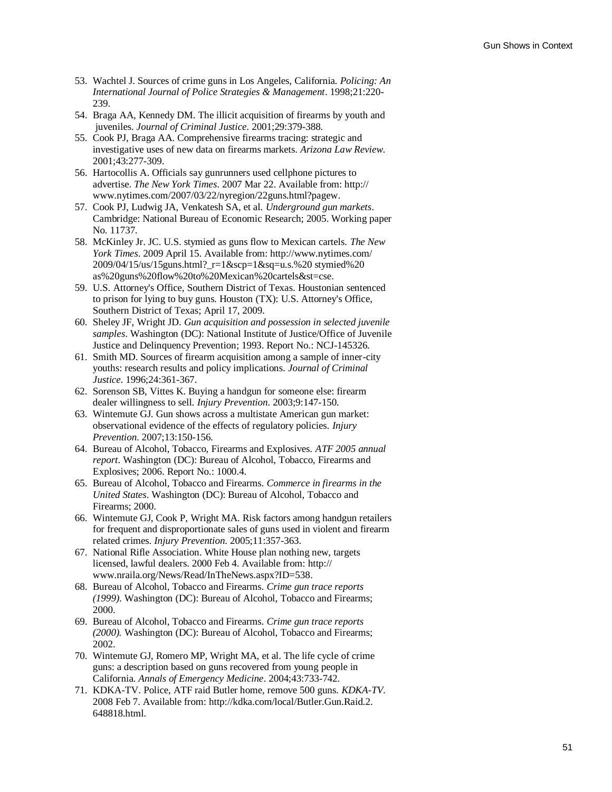- 53. Wachtel J. Sources of crime guns in Los Angeles, California. *Policing: An International Journal of Police Strategies & Management*. 1998;21:220- 239.
- 54. Braga AA, Kennedy DM. The illicit acquisition of firearms by youth and juveniles. *Journal of Criminal Justice*. 2001;29:379-388.
- 55. Cook PJ, Braga AA. Comprehensive firearms tracing: strategic and investigative uses of new data on firearms markets. *Arizona Law Review*. 2001;43:277-309.
- 56. Hartocollis A. Officials say gunrunners used cellphone pictures to advertise. *The New York Times*. 2007 Mar 22. Available from: [http://](http://www.nytimes.com/2007/03/22/nyregion/22guns.html?pagew) [www.nytimes.com/2007/03/22/nyregion/22guns.html?pagew.](http://www.nytimes.com/2007/03/22/nyregion/22guns.html?pagew)
- 57. Cook PJ, Ludwig JA, Venkatesh SA, et al. *Underground gun markets*. Cambridge: National Bureau of Economic Research; 2005. Working paper No. 11737.
- 58. McKinley Jr. JC. U.S. stymied as guns flow to Mexican cartels. *The New York Times*. 2009 April 15. Available from: [http://www.nytimes.com/](http://www.nytimes.com/2009/04/15/us/15guns.html?_r=1&scp=1&sq=u.s.%20stymied%20as%20guns%20flow%20to%20Mexican%20cartels&st=cse)  [2009/04/15/us/15guns.html?\\_r=1&scp=1&sq=u.s.%20 stymied%20](http://www.nytimes.com/2009/04/15/us/15guns.html?_r=1&scp=1&sq=u.s.%20stymied%20as%20guns%20flow%20to%20Mexican%20cartels&st=cse)  [as%20guns%20flow%20to%20Mexican%20cartels&st=cse.](http://www.nytimes.com/2009/04/15/us/15guns.html?_r=1&scp=1&sq=u.s.%20stymied%20as%20guns%20flow%20to%20Mexican%20cartels&st=cse)
- 59. U.S. Attorney's Office, Southern District of Texas. Houstonian sentenced to prison for lying to buy guns. Houston (TX): U.S. Attorney's Office, Southern District of Texas; April 17, 2009.
- 60. Sheley JF, Wright JD. *Gun acquisition and possession in selected juvenile samples*. Washington (DC): National Institute of Justice/Office of Juvenile Justice and Delinquency Prevention; 1993. Report No.: NCJ-145326.
- 61. Smith MD. Sources of firearm acquisition among a sample of inner-city youths: research results and policy implications. *Journal of Criminal Justice*. 1996;24:361-367.
- 62. Sorenson SB, Vittes K. Buying a handgun for someone else: firearm dealer willingness to sell. *Injury Prevention*. 2003;9:147-150.
- 63. Wintemute GJ. Gun shows across a multistate American gun market: observational evidence of the effects of regulatory policies. *Injury Prevention*. 2007;13:150-156.
- 64. Bureau of Alcohol, Tobacco, Firearms and Explosives. *ATF 2005 annual report*. Washington (DC): Bureau of Alcohol, Tobacco, Firearms and Explosives; 2006. Report No.: 1000.4.
- 65. Bureau of Alcohol, Tobacco and Firearms. *Commerce in firearms in the United States*. Washington (DC): Bureau of Alcohol, Tobacco and Firearms; 2000.
- 66. Wintemute GJ, Cook P, Wright MA. Risk factors among handgun retailers for frequent and disproportionate sales of guns used in violent and firearm related crimes. *Injury Prevention*. 2005;11:357-363.
- 67. National Rifle Association. White House plan nothing new, targets licensed, lawful dealers. 2000 Feb 4. Available from: [http://](http://www.nraila.org/News/Read/InTheNews.aspx?ID=538) [www.nraila.org/News/Read/InTheNews.aspx?ID=538.](http://www.nraila.org/News/Read/InTheNews.aspx?ID=538)
- 68. Bureau of Alcohol, Tobacco and Firearms. *Crime gun trace reports (1999)*. Washington (DC): Bureau of Alcohol, Tobacco and Firearms; 2000.
- 69. Bureau of Alcohol, Tobacco and Firearms. *Crime gun trace reports (2000).* Washington (DC): Bureau of Alcohol, Tobacco and Firearms; 2002.
- 70. Wintemute GJ, Romero MP, Wright MA, et al. The life cycle of crime guns: a description based on guns recovered from young people in California. *Annals of Emergency Medicine*. 2004;43:733-742.
- 71. KDKA-TV. Police, ATF raid Butler home, remove 500 guns. *KDKA-TV*. 2008 Feb 7. Available from: [http://kdka.com/local/Butler.Gun.Raid.2.](http://kdka.com/local/Butler.Gun.Raid.2.648818.html)  [648818.html.](http://kdka.com/local/Butler.Gun.Raid.2.648818.html)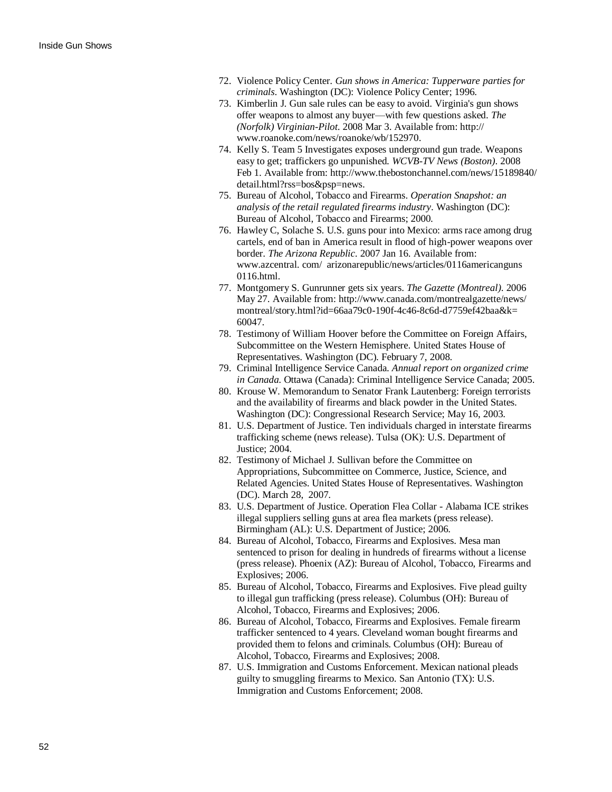- 72. Violence Policy Center. *Gun shows in America: Tupperware parties for criminals*. Washington (DC): Violence Policy Center; 1996.
- 73. Kimberlin J. Gun sale rules can be easy to avoid. Virginia's gun shows offer weapons to almost any buyer—with few questions asked. *The (Norfolk) Virginian-Pilot*. 2008 Mar 3. Available from: [http://](http://www.roanoke.com/news/roanoke/wb/152970)  [www.roanoke.com/news/roanoke/wb/152970.](http://www.roanoke.com/news/roanoke/wb/152970)
- 74. Kelly S. Team 5 Investigates exposes underground gun trade. Weapons easy to get; traffickers go unpunished. *WCVB-TV News (Boston)*. 2008 Feb 1. Available from: [http://www.thebostonchannel.com/news/15189840/](http://www.thebostonchannel.com/news/15189840/detail.html?rss=bos&psp=news) [detail.html?rss=bos&psp=news.](http://www.thebostonchannel.com/news/15189840/detail.html?rss=bos&psp=news)
- 75. Bureau of Alcohol, Tobacco and Firearms. *Operation Snapshot: an analysis of the retail regulated firearms industry*. Washington (DC): Bureau of Alcohol, Tobacco and Firearms; 2000.
- 76. Hawley C, Solache S. U.S. guns pour into Mexico: arms race among drug cartels, end of ban in America result in flood of high-power weapons over border. *The Arizona Republic*. 2007 Jan 16. Available from: [www.azcentral. com/ arizonarepublic/news/articles/0116americanguns](http://www.azcentral.com/arizonarepublic/news/articles/0116americanguns0116.html)  [0116.html.](http://www.azcentral.com/arizonarepublic/news/articles/0116americanguns0116.html)
- 77. Montgomery S. Gunrunner gets six years. *The Gazette (Montreal)*. 2006 May 27. Available from: [http://www.canada.com/montrealgazette/news/](http://www.canada.com/montrealgazette/news/montreal/story.html?id=66aa79c0-190f-4c46-8c6d-d7759ef42baa&k=60047) [montreal/story.html?id=66aa79c0-190f-4c46-8c6d-d7759ef42baa&k=](http://www.canada.com/montrealgazette/news/montreal/story.html?id=66aa79c0-190f-4c46-8c6d-d7759ef42baa&k=60047)  [60047.](http://www.canada.com/montrealgazette/news/montreal/story.html?id=66aa79c0-190f-4c46-8c6d-d7759ef42baa&k=60047)
- 78. Testimony of William Hoover before the Committee on Foreign Affairs, Subcommittee on the Western Hemisphere. United States House of Representatives. Washington (DC). February 7, 2008.
- 79. Criminal Intelligence Service Canada. *Annual report on organized crime in Canada*. Ottawa (Canada): Criminal Intelligence Service Canada; 2005.
- 80. Krouse W. Memorandum to Senator Frank Lautenberg: Foreign terrorists and the availability of firearms and black powder in the United States. Washington (DC): Congressional Research Service; May 16, 2003.
- 81. U.S. Department of Justice. Ten individuals charged in interstate firearms trafficking scheme (news release). Tulsa (OK): U.S. Department of Justice; 2004.
- 82. Testimony of Michael J. Sullivan before the Committee on Appropriations, Subcommittee on Commerce, Justice, Science, and Related Agencies. United States House of Representatives. Washington (DC). March 28, 2007.
- 83. U.S. Department of Justice. Operation Flea Collar Alabama ICE strikes illegal suppliers selling guns at area flea markets (press release). Birmingham (AL): U.S. Department of Justice; 2006.
- 84. Bureau of Alcohol, Tobacco, Firearms and Explosives. Mesa man sentenced to prison for dealing in hundreds of firearms without a license (press release). Phoenix (AZ): Bureau of Alcohol, Tobacco, Firearms and Explosives; 2006.
- 85. Bureau of Alcohol, Tobacco, Firearms and Explosives. Five plead guilty to illegal gun trafficking (press release). Columbus (OH): Bureau of Alcohol, Tobacco, Firearms and Explosives; 2006.
- 86. Bureau of Alcohol, Tobacco, Firearms and Explosives. Female firearm trafficker sentenced to 4 years. Cleveland woman bought firearms and provided them to felons and criminals. Columbus (OH): Bureau of Alcohol, Tobacco, Firearms and Explosives; 2008.
- 87. U.S. Immigration and Customs Enforcement. Mexican national pleads guilty to smuggling firearms to Mexico. San Antonio (TX): U.S. Immigration and Customs Enforcement; 2008.